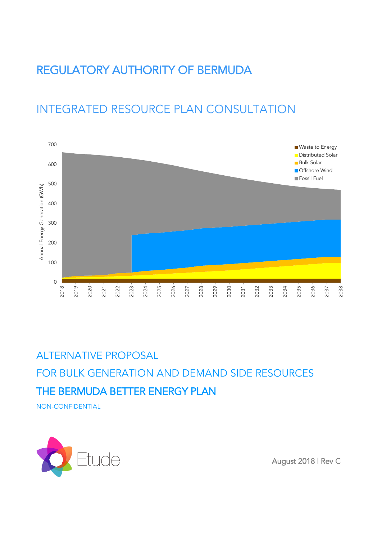# REGULATORY AUTHORITY OF BERMUDA

# INTEGRATED RESOURCE PLAN CONSULTATION



# ALTERNATIVE PROPOSAL

FOR BULK GENERATION AND DEMAND SIDE RESOURCES THE BERMUDA BETTER ENERGY PLAN

NON-CONFIDENTIAL



August 2018 | Rev C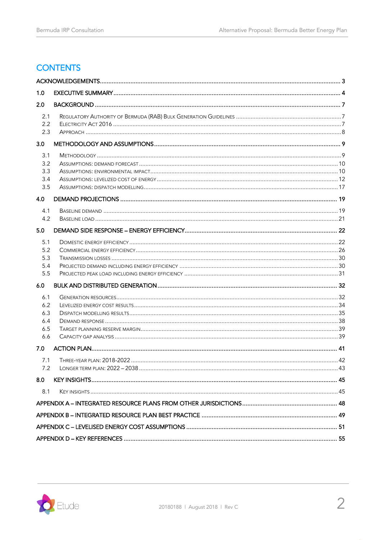# **CONTENTS**

| 1.0                                    |  |  |  |  |
|----------------------------------------|--|--|--|--|
| 2.0                                    |  |  |  |  |
| 2.1<br>2.2<br>2.3                      |  |  |  |  |
| 3.0                                    |  |  |  |  |
| 3.1<br>3.2<br>3.3<br>3.4<br>3.5        |  |  |  |  |
| 4.0                                    |  |  |  |  |
| 4.1<br>4.2                             |  |  |  |  |
| 5.0                                    |  |  |  |  |
| 5.1<br>5.2<br>5.3<br>5.4<br>5.5        |  |  |  |  |
| 6.0                                    |  |  |  |  |
| 6.1<br>6.2<br>6.3<br>6.4<br>6.5<br>6.6 |  |  |  |  |
| 7.0                                    |  |  |  |  |
| 7.1<br>7.2                             |  |  |  |  |
| 8.0                                    |  |  |  |  |
| 8.1                                    |  |  |  |  |
|                                        |  |  |  |  |
|                                        |  |  |  |  |
|                                        |  |  |  |  |
|                                        |  |  |  |  |

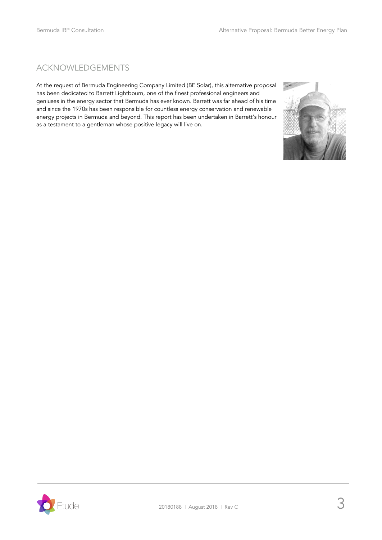# <span id="page-2-0"></span>ACKNOWLEDGEMENTS

At the request of Bermuda Engineering Company Limited (BE Solar), this alternative proposal has been dedicated to Barrett Lightbourn, one of the finest professional engineers and geniuses in the energy sector that Bermuda has ever known. Barrett was far ahead of his time and since the 1970s has been responsible for countless energy conservation and renewable energy projects in Bermuda and beyond. This report has been undertaken in Barrett's honour as a testament to a gentleman whose positive legacy will live on.



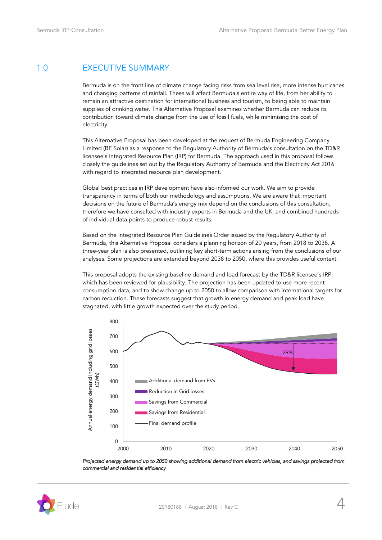# <span id="page-3-0"></span>1.0 EXECUTIVE SUMMARY

Bermuda is on the front line of climate change facing risks from sea level rise, more intense hurricanes and changing patterns of rainfall. These will affect Bermuda's entire way of life, from her ability to remain an attractive destination for international business and tourism, to being able to maintain supplies of drinking water. This Alternative Proposal examines whether Bermuda can reduce its contribution toward climate change from the use of fossil fuels, while minimising the cost of electricity.

This Alternative Proposal has been developed at the request of Bermuda Engineering Company Limited (BE Solar) as a response to the Regulatory Authority of Bermuda's consultation on the TD&R licensee's Integrated Resource Plan (IRP) for Bermuda. The approach used in this proposal follows closely the guidelines set out by the Regulatory Authority of Bermuda and the Electricity Act 2016 with regard to integrated resource plan development.

Global best practices in IRP development have also informed our work. We aim to provide transparency in terms of both our methodology and assumptions. We are aware that important decisions on the future of Bermuda's energy mix depend on the conclusions of this consultation, therefore we have consulted with industry experts in Bermuda and the UK, and combined hundreds of individual data points to produce robust results.

Based on the Integrated Resource Plan Guidelines Order issued by the Regulatory Authority of Bermuda, this Alternative Proposal considers a planning horizon of 20 years, from 2018 to 2038. A three-year plan is also presented, outlining key short-term actions arising from the conclusions of our analyses. Some projections are extended beyond 2038 to 2050, where this provides useful context.

This proposal adopts the existing baseline demand and load forecast by the TD&R licensee's IRP, which has been reviewed for plausibility. The projection has been updated to use more recent consumption data, and to show change up to 2050 to allow comparison with international targets for carbon reduction. These forecasts suggest that growth in energy demand and peak load have stagnated, with little growth expected over the study period.





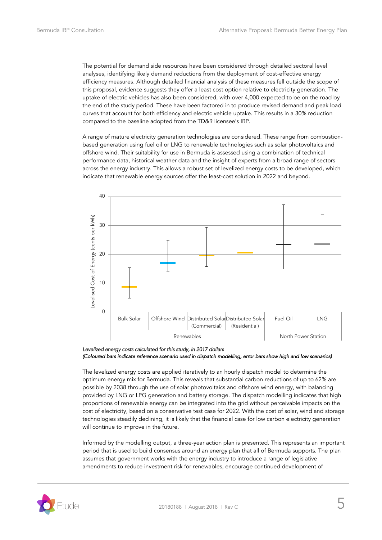The potential for demand side resources have been considered through detailed sectoral level analyses, identifying likely demand reductions from the deployment of cost-effective energy efficiency measures. Although detailed financial analysis of these measures fell outside the scope of this proposal, evidence suggests they offer a least cost option relative to electricity generation. The uptake of electric vehicles has also been considered, with over 4,000 expected to be on the road by the end of the study period. These have been factored in to produce revised demand and peak load curves that account for both efficiency and electric vehicle uptake. This results in a 30% reduction compared to the baseline adopted from the TD&R licensee's IRP.

A range of mature electricity generation technologies are considered. These range from combustionbased generation using fuel oil or LNG to renewable technologies such as solar photovoltaics and offshore wind. Their suitability for use in Bermuda is assessed using a combination of technical performance data, historical weather data and the insight of experts from a broad range of sectors across the energy industry. This allows a robust set of levelized energy costs to be developed, which indicate that renewable energy sources offer the least-cost solution in 2022 and beyond.



*Levelized energy costs calculated for this study, in 2017 dollars (Coloured bars indicate reference scenario used in dispatch modelling, error bars show high and low scenarios)* 

The levelized energy costs are applied iteratively to an hourly dispatch model to determine the optimum energy mix for Bermuda. This reveals that substantial carbon reductions of up to 62% are possible by 2038 through the use of solar photovoltaics and offshore wind energy, with balancing provided by LNG or LPG generation and battery storage. The dispatch modelling indicates that high proportions of renewable energy can be integrated into the grid without perceivable impacts on the cost of electricity, based on a conservative test case for 2022. With the cost of solar, wind and storage technologies steadily declining, it is likely that the financial case for low carbon electricity generation will continue to improve in the future.

Informed by the modelling output, a three-year action plan is presented. This represents an important period that is used to build consensus around an energy plan that all of Bermuda supports. The plan assumes that government works with the energy industry to introduce a range of legislative amendments to reduce investment risk for renewables, encourage continued development of

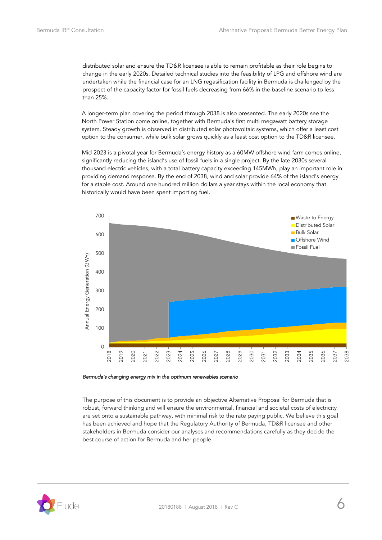distributed solar and ensure the TD&R licensee is able to remain profitable as their role begins to change in the early 2020s. Detailed technical studies into the feasibility of LPG and offshore wind are undertaken while the financial case for an LNG regasification facility in Bermuda is challenged by the prospect of the capacity factor for fossil fuels decreasing from 66% in the baseline scenario to less than 25%.

A longer-term plan covering the period through 2038 is also presented. The early 2020s see the North Power Station come online, together with Bermuda's first multi megawatt battery storage system. Steady growth is observed in distributed solar photovoltaic systems, which offer a least cost option to the consumer, while bulk solar grows quickly as a least cost option to the TD&R licensee.

Mid 2023 is a pivotal year for Bermuda's energy history as a 60MW offshore wind farm comes online, significantly reducing the island's use of fossil fuels in a single project. By the late 2030s several thousand electric vehicles, with a total battery capacity exceeding 145MWh, play an important role in providing demand response. By the end of 2038, wind and solar provide 64% of the island's energy for a stable cost. Around one hundred million dollars a year stays within the local economy that historically would have been spent importing fuel.



#### *Bermuda's changing energy mix in the optimum renewables scenario*

The purpose of this document is to provide an objective Alternative Proposal for Bermuda that is robust, forward thinking and will ensure the environmental, financial and societal costs of electricity are set onto a sustainable pathway, with minimal risk to the rate paying public. We believe this goal has been achieved and hope that the Regulatory Authority of Bermuda, TD&R licensee and other stakeholders in Bermuda consider our analyses and recommendations carefully as they decide the best course of action for Bermuda and her people.

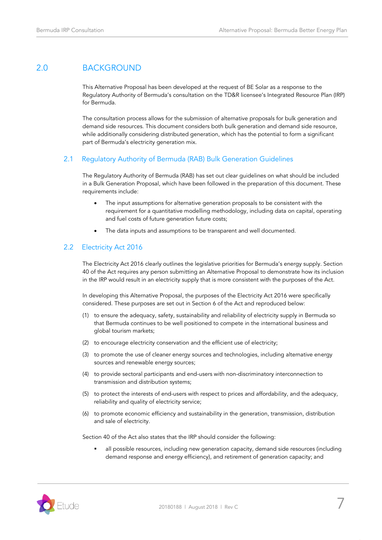# <span id="page-6-0"></span>2.0 BACKGROUND

This Alternative Proposal has been developed at the request of BE Solar as a response to the Regulatory Authority of Bermuda's consultation on the TD&R licensee's Integrated Resource Plan (IRP) for Bermuda.

The consultation process allows for the submission of alternative proposals for bulk generation and demand side resources. This document considers both bulk generation and demand side resource, while additionally considering distributed generation, which has the potential to form a significant part of Bermuda's electricity generation mix.

### <span id="page-6-1"></span>2.1 Regulatory Authority of Bermuda (RAB) Bulk Generation Guidelines

The Regulatory Authority of Bermuda (RAB) has set out clear guidelines on what should be included in a Bulk Generation Proposal, which have been followed in the preparation of this document. These requirements include:

- The input assumptions for alternative generation proposals to be consistent with the requirement for a quantitative modelling methodology, including data on capital, operating and fuel costs of future generation future costs;
- The data inputs and assumptions to be transparent and well documented.

### <span id="page-6-2"></span>2.2 Electricity Act 2016

The Electricity Act 2016 clearly outlines the legislative priorities for Bermuda's energy supply. Section 40 of the Act requires any person submitting an Alternative Proposal to demonstrate how its inclusion in the IRP would result in an electricity supply that is more consistent with the purposes of the Act.

In developing this Alternative Proposal, the purposes of the Electricity Act 2016 were specifically considered. These purposes are set out in Section 6 of the Act and reproduced below:

- (1) to ensure the adequacy, safety, sustainability and reliability of electricity supply in Bermuda so that Bermuda continues to be well positioned to compete in the international business and global tourism markets;
- (2) to encourage electricity conservation and the efficient use of electricity;
- (3) to promote the use of cleaner energy sources and technologies, including alternative energy sources and renewable energy sources;
- (4) to provide sectoral participants and end-users with non-discriminatory interconnection to transmission and distribution systems;
- (5) to protect the interests of end-users with respect to prices and affordability, and the adequacy, reliability and quality of electricity service;
- (6) to promote economic efficiency and sustainability in the generation, transmission, distribution and sale of electricity.

Section 40 of the Act also states that the IRP should consider the following:

**•** all possible resources, including new generation capacity, demand side resources (including demand response and energy efficiency), and retirement of generation capacity; and

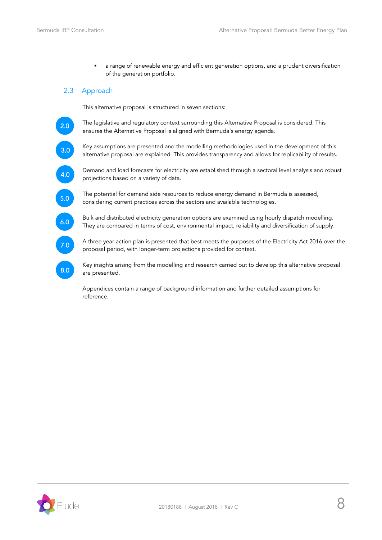**■** a range of renewable energy and efficient generation options, and a prudent diversification of the generation portfolio.

# <span id="page-7-0"></span>2.3 Approach

This alternative proposal is structured in seven sections:

2.0

The legislative and regulatory context surrounding this Alternative Proposal is considered. This ensures the Alternative Proposal is aligned with Bermuda's energy agenda.

3.0

Key assumptions are presented and the modelling methodologies used in the development of this alternative proposal are explained. This provides transparency and allows for replicability of results.

4.0

Demand and load forecasts for electricity are established through a sectoral level analysis and robust projections based on a variety of data.

5.0

6.0

The potential for demand side resources to reduce energy demand in Bermuda is assessed, considering current practices across the sectors and available technologies.

Bulk and distributed electricity generation options are examined using hourly dispatch modelling. They are compared in terms of cost, environmental impact, reliability and diversification of supply.

7.0

8.0

A three year action plan is presented that best meets the purposes of the Electricity Act 2016 over the proposal period, with longer-term projections provided for context.

Key insights arising from the modelling and research carried out to develop this alternative proposal are presented.

Appendices contain a range of background information and further detailed assumptions for reference.

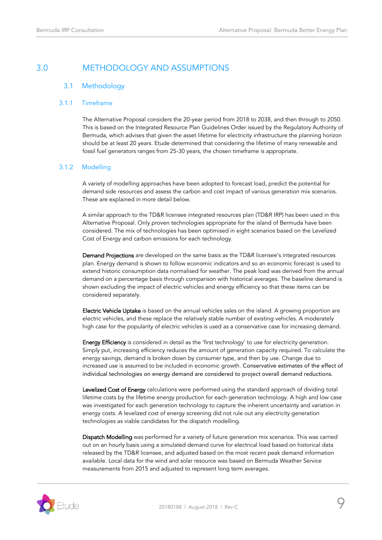# <span id="page-8-1"></span><span id="page-8-0"></span>3.0 METHODOLOGY AND ASSUMPTIONS

# 3.1 Methodology

### 3.1.1 Timeframe

The Alternative Proposal considers the 20-year period from 2018 to 2038, and then through to 2050. This is based on the Integrated Resource Plan Guidelines Order issued by the Regulatory Authority of Bermuda, which advises that given the asset lifetime for electricity infrastructure the planning horizon should be at least 20 years. Etude determined that considering the lifetime of many renewable and fossil fuel generators ranges from 25-30 years, the chosen timeframe is appropriate.

### 3.1.2 Modelling

A variety of modelling approaches have been adopted to forecast load, predict the potential for demand side resources and assess the carbon and cost impact of various generation mix scenarios. These are explained in more detail below.

A similar approach to the TD&R licensee integrated resources plan (TD&R IRP) has been used in this Alternative Proposal. Only proven technologies appropriate for the island of Bermuda have been considered. The mix of technologies has been optimised in eight scenarios based on the Levelized Cost of Energy and carbon emissions for each technology.

Demand Projections are developed on the same basis as the TD&R licensee's integrated resources plan. Energy demand is shown to follow economic indicators and so an economic forecast is used to extend historic consumption data normalised for weather. The peak load was derived from the annual demand on a percentage basis through comparison with historical averages. The baseline demand is shown excluding the impact of electric vehicles and energy efficiency so that these items can be considered separately.

Electric Vehicle Uptake is based on the annual vehicles sales on the island. A growing proportion are electric vehicles, and these replace the relatively stable number of existing vehicles. A moderately high case for the popularity of electric vehicles is used as a conservative case for increasing demand.

Energy Efficiency is considered in detail as the 'first technology' to use for electricity generation. Simply put, increasing efficiency reduces the amount of generation capacity required. To calculate the energy savings, demand is broken down by consumer type, and then by use. Change due to increased use is assumed to be included in economic growth. Conservative estimates of the effect of individual technologies on energy demand are considered to project overall demand reductions.

Levelized Cost of Energy calculations were performed using the standard approach of dividing total lifetime costs by the lifetime energy production for each generation technology. A high and low case was investigated for each generation technology to capture the inherent uncertainty and variation in energy costs. A levelized cost of energy screening did not rule out any electricity generation technologies as viable candidates for the dispatch modelling.

Dispatch Modelling was performed for a variety of future generation mix scenarios. This was carried out on an hourly basis using a simulated demand curve for electrical load based on historical data released by the TD&R licensee, and adjusted based on the most recent peak demand information available. Local data for the wind and solar resource was based on Bermuda Weather Service measurements from 2015 and adjusted to represent long term averages.

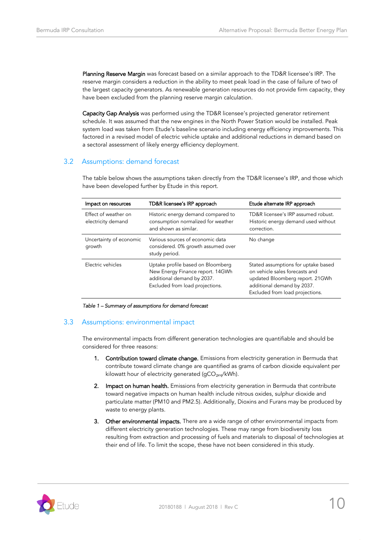Planning Reserve Margin was forecast based on a similar approach to the TD&R licensee's IRP. The reserve margin considers a reduction in the ability to meet peak load in the case of failure of two of the largest capacity generators. As renewable generation resources do not provide firm capacity, they have been excluded from the planning reserve margin calculation.

Capacity Gap Analysis was performed using the TD&R licensee's projected generator retirement schedule. It was assumed that the new engines in the North Power Station would be installed. Peak system load was taken from Etude's baseline scenario including energy efficiency improvements. This factored in a revised model of electric vehicle uptake and additional reductions in demand based on a sectoral assessment of likely energy efficiency deployment.

# <span id="page-9-0"></span>3.2 Assumptions: demand forecast

The table below shows the assumptions taken directly from the TD&R licensee's IRP, and those which have been developed further by Etude in this report.

| Impact on resources                        | TD&R licensee's IRP approach                                                                                                           | Etude alternate IRP approach                                                                                                                                              |
|--------------------------------------------|----------------------------------------------------------------------------------------------------------------------------------------|---------------------------------------------------------------------------------------------------------------------------------------------------------------------------|
| Effect of weather on<br>electricity demand | Historic energy demand compared to<br>consumption normalized for weather<br>and shown as similar.                                      | TD&R licensee's IRP assumed robust.<br>Historic energy demand used without<br>correction.                                                                                 |
| Uncertainty of economic<br>growth          | Various sources of economic data<br>considered. 0% growth assumed over<br>study period.                                                | No change                                                                                                                                                                 |
| Electric vehicles                          | Uptake profile based on Bloomberg<br>New Energy Finance report. 14GWh<br>additional demand by 2037.<br>Excluded from load projections. | Stated assumptions for uptake based<br>on vehicle sales forecasts and<br>updated Bloomberg report. 21GWh<br>additional demand by 2037.<br>Excluded from load projections. |

*Table 1 – Summary of assumptions for demand forecast*

### <span id="page-9-1"></span>3.3 Assumptions: environmental impact

The environmental impacts from different generation technologies are quantifiable and should be considered for three reasons:

- 1. Contribution toward climate change. Emissions from electricity generation in Bermuda that contribute toward climate change are quantified as grams of carbon dioxide equivalent per kilowatt hour of electricity generated (gCO<sub>2eq</sub>/kWh).
- 2. Impact on human health. Emissions from electricity generation in Bermuda that contribute toward negative impacts on human health include nitrous oxides, sulphur dioxide and particulate matter (PM10 and PM2.5). Additionally, Dioxins and Furans may be produced by waste to energy plants.
- 3. Other environmental impacts. There are a wide range of other environmental impacts from different electricity generation technologies. These may range from biodiversity loss resulting from extraction and processing of fuels and materials to disposal of technologies at their end of life. To limit the scope, these have not been considered in this study.

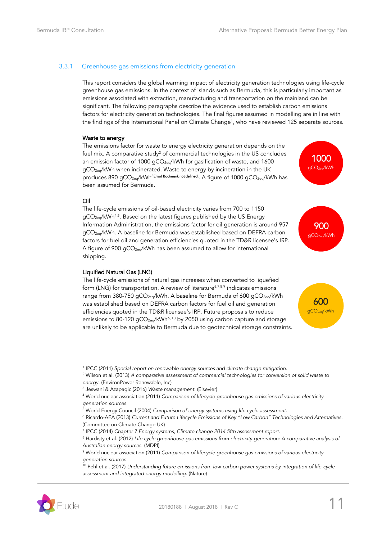### 3.3.1 Greenhouse gas emissions from electricity generation

This report considers the global warming impact of electricity generation technologies using life-cycle greenhouse gas emissions. In the context of islands such as Bermuda, this is particularly important as emissions associated with extraction, manufacturing and transportation on the mainland can be significant. The following paragraphs describe the evidence used to establish carbon emissions factors for electricity generation technologies. The final figures assumed in modelling are in line with the findings of the International Panel on Climate Change<sup>1</sup> , who have reviewed 125 separate sources.

#### Waste to energy

The emissions factor for waste to energy electricity generation depends on the fuel mix. A comparative study<sup>2</sup> of commercial technologies in the US concludes an emission factor of 1000  $qCO_{2eq}/kWh$  for gasification of waste, and 1600 gCO<sub>2eq</sub>/kWh when incinerated. Waste to energy by incineration in the UK produces 890 gCO<sub>2eq</sub>/kWh<sup>3**Error! Bookmark not defined** . A figure of 1000 gCO<sub>2eq</sub>/kWh has</sup> been assumed for Bermuda.



900 gCO2eq/kWh

#### Oil

<span id="page-10-1"></span>j

The life-cycle emissions of oil-based electricity varies from 700 to 1150 gCO<sub>2eq</sub>/kWh<sup>4,5</sup>. Based on the latest figures published by the US Energy Information Administration, the emissions factor for oil generation is around 957 gCO<sub>2eq</sub>/kWh. A baseline for Bermuda was established based on DEFRA carbon factors for fuel oil and generation efficiencies quoted in the TD&R licensee's IRP. A figure of 900 gCO<sub>2eq</sub>/kWh has been assumed to allow for international shipping.

### Liquified Natural Gas (LNG)

The life-cycle emissions of natural gas increases when converted to liquefied form (LNG) for transportation. A review of literature $^{6,7,8,9}$  indicates emissions range from 380-750 gCO<sub>2eq</sub>/kWh. A baseline for Bermuda of 600 gCO<sub>2eq</sub>/kWh was established based on DEFRA carbon factors for fuel oil and generation efficiencies quoted in the TD&R licensee's IRP. Future proposals to reduce emissions to 80-120 gCO<sub>2eq</sub>/kWh<sup>[6,](#page-10-0) 10</sup> by 2050 using carbon capture and storage are unlikely to be applicable to Bermuda due to geotechnical storage constraints.

<span id="page-10-2"></span><span id="page-10-0"></span>

<sup>10</sup> Pehl et al. (2017) *Understanding future emissions from low-carbon power systems by integration of life-cycle assessment and integrated energy modelling*. (Nature)



<sup>&</sup>lt;sup>1</sup> IPCC (2011) Special report on renewable energy sources and climate change mitigation.

<sup>2</sup> Wilson et al. (2013) *A comparative assessment of commercial technologies for conversion of solid waste to energy.* (EnvironPower Renewable, Inc)

<sup>3</sup> Jeswani & Azapagic (2016) *Waste management.* (Elsevier)

<sup>4</sup> World nuclear association (2011) *Comparison of lifecycle greenhouse gas emissions of various electricity generation sources.*

<sup>5</sup> World Energy Council (2004) *Comparison of energy systems using life cycle assessment.*

<sup>6</sup> Ricardo-AEA (2013) *Current and Future Lifecycle Emissions of Key "Low Carbon" Technologies and Alternatives.* (Committee on Climate Change UK)

<sup>7</sup> IPCC (2014) *Chapter 7 Energy systems, Climate change 2014 fifth assessment report.*

<sup>8</sup> Hardisty et al. (2012) *Life cycle greenhouse gas emissions from electricity generation: A comparative analysis of Australian energy sources*. (MDPI)

<sup>9</sup> World nuclear association (2011) *Comparison of lifecycle greenhouse gas emissions of various electricity generation sources.*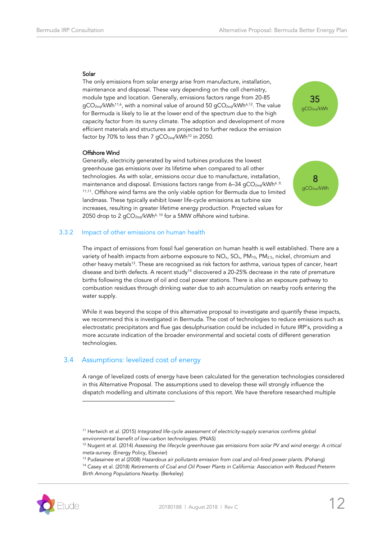#### Solar

<span id="page-11-1"></span>The only emissions from solar energy arise from manufacture, installation, maintenance and disposal. These vary depending on the cell chemistry, module type and location. Generally, emissions factors range from 20-85 gCO<sub>2eq</sub>/kWh<sup>1[1,6](#page-10-0)</sup>, with a nominal value of around 50 gCO<sub>2eq</sub>/kWh<sup>[6,1](#page-10-0)2</sup>. The value for Bermuda is likely to lie at the lower end of the spectrum due to the high capacity factor from its sunny climate. The adoption and development of more efficient materials and structures are projected to further reduce the emission factor by 70% to less than 7  $qCO_{2eq}/kWh^{10}$  $qCO_{2eq}/kWh^{10}$  $qCO_{2eq}/kWh^{10}$  in 2050.



#### Offshore Wind

Generally, electricity generated by wind turbines produces the lowest greenhouse gas emissions over its lifetime when compared to all other technologies. As with solar, emissions occur due to manufacture, installation, maintenance and disposal. Emissions factors range from 6-34 gCO<sub>2eq</sub>/kW[h](#page-10-0)<sup>6[,9,](#page-10-2)</sup> <sup>[11,11](#page-11-1)</sup>. Offshore wind farms are the only viable option for Bermuda due to limited landmass. These typically exhibit lower life-cycle emissions as turbine size increases, resulting in greater lifetime energy production. Projected values for 2050 drop to 2 gCO<sub>2eq</sub>/kWh<sup>[6,](#page-10-0) [10](#page-10-1)</sup> for a 5MW offshore wind turbine.



### 3.3.2 Impact of other emissions on human health

The impact of emissions from fossil fuel generation on human health is well established. There are a variety of health impacts from airborne exposure to  $NO<sub>x</sub>$ ,  $SO<sub>x</sub>$ ,  $PM<sub>10</sub>$ ,  $PM<sub>2.5</sub>$ , nickel, chromium and other heavy metals<sup>13</sup>. These are recognised as risk factors for asthma, various types of cancer, heart disease and birth defects. A recent study<sup>14</sup> discovered a 20-25% decrease in the rate of premature births following the closure of oil and coal power stations. There is also an exposure pathway to combustion residues through drinking water due to ash accumulation on nearby roofs entering the water supply.

While it was beyond the scope of this alternative proposal to investigate and quantify these impacts, we recommend this is investigated in Bermuda. The cost of technologies to reduce emissions such as electrostatic precipitators and flue gas desulphurisation could be included in future IRP's, providing a more accurate indication of the broader environmental and societal costs of different generation technologies.

### <span id="page-11-0"></span>3.4 Assumptions: levelized cost of energy

A range of levelized costs of energy have been calculated for the generation technologies considered in this Alternative Proposal. The assumptions used to develop these will strongly influence the dispatch modelling and ultimate conclusions of this report. We have therefore researched multiple

<sup>14</sup> Casey et al. (2018) *Retirements of Coal and Oil Power Plants in California: Association with Reduced Preterm Birth Among Populations Nearby.* (Berkeley)



<sup>11</sup> Hertwich et al. (2015) *Integrated life-cycle assessment of electricity-supply scenarios confirms global environmental benefit of low-carbon technologies.* (PNAS)

<sup>12</sup> Nugent et al. (2014) *Assessing the lifecycle greenhouse gas emissions from solar PV and wind energy: A critical meta-survey.* (Energy Policy, Elsevier)

<sup>13</sup> Pudasainee et al (2008) *Hazardous air pollutants emission from coal and oil-fired power plants.* (Pohang)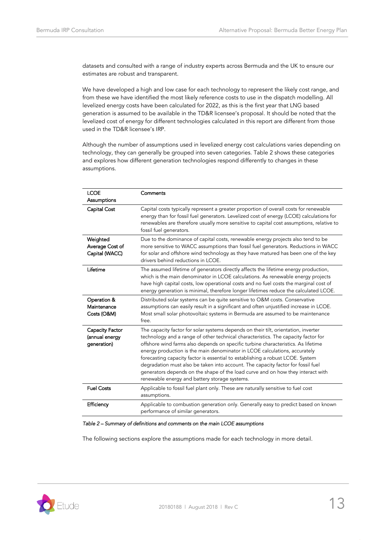datasets and consulted with a range of industry experts across Bermuda and the UK to ensure our estimates are robust and transparent.

We have developed a high and low case for each technology to represent the likely cost range, and from these we have identified the most likely reference costs to use in the dispatch modelling. All levelized energy costs have been calculated for 2022, as this is the first year that LNG based generation is assumed to be available in the TD&R licensee's proposal. It should be noted that the levelized cost of energy for different technologies calculated in this report are different from those used in the TD&R licensee's IRP.

Although the number of assumptions used in levelized energy cost calculations varies depending on technology, they can generally be grouped into seven categories. [Table 2](#page-12-0) shows these categories and explores how different generation technologies respond differently to changes in these assumptions.

| <b>LCOE</b><br>Assumptions                              | Comments                                                                                                                                                                                                                                                                                                                                                                                                                                                                                                                                                                                                                                              |
|---------------------------------------------------------|-------------------------------------------------------------------------------------------------------------------------------------------------------------------------------------------------------------------------------------------------------------------------------------------------------------------------------------------------------------------------------------------------------------------------------------------------------------------------------------------------------------------------------------------------------------------------------------------------------------------------------------------------------|
| Capital Cost                                            | Capital costs typically represent a greater proportion of overall costs for renewable<br>energy than for fossil fuel generators. Levelized cost of energy (LCOE) calculations for<br>renewables are therefore usually more sensitive to capital cost assumptions, relative to<br>fossil fuel generators.                                                                                                                                                                                                                                                                                                                                              |
| Weighted<br>Average Cost of<br>Capital (WACC)           | Due to the dominance of capital costs, renewable energy projects also tend to be<br>more sensitive to WACC assumptions than fossil fuel generators. Reductions in WACC<br>for solar and offshore wind technology as they have matured has been one of the key<br>drivers behind reductions in LCOE.                                                                                                                                                                                                                                                                                                                                                   |
| Lifetime                                                | The assumed lifetime of generators directly affects the lifetime energy production,<br>which is the main denominator in LCOE calculations. As renewable energy projects<br>have high capital costs, low operational costs and no fuel costs the marginal cost of<br>energy generation is minimal, therefore longer lifetimes reduce the calculated LCOE.                                                                                                                                                                                                                                                                                              |
| Operation &<br>Maintenance<br>Costs (O&M)               | Distributed solar systems can be quite sensitive to O&M costs. Conservative<br>assumptions can easily result in a significant and often unjustified increase in LCOE.<br>Most small solar photovoltaic systems in Bermuda are assumed to be maintenance<br>free.                                                                                                                                                                                                                                                                                                                                                                                      |
| <b>Capacity Factor</b><br>(annual energy<br>generation) | The capacity factor for solar systems depends on their tilt, orientation, inverter<br>technology and a range of other technical characteristics. The capacity factor for<br>offshore wind farms also depends on specific turbine characteristics. As lifetime<br>energy production is the main denominator in LCOE calculations, accurately<br>forecasting capacity factor is essential to establishing a robust LCOE. System<br>degradation must also be taken into account. The capacity factor for fossil fuel<br>generators depends on the shape of the load curve and on how they interact with<br>renewable energy and battery storage systems. |
| <b>Fuel Costs</b>                                       | Applicable to fossil fuel plant only. These are naturally sensitive to fuel cost<br>assumptions.                                                                                                                                                                                                                                                                                                                                                                                                                                                                                                                                                      |
| Efficiency                                              | Applicable to combustion generation only. Generally easy to predict based on known<br>performance of similar generators.                                                                                                                                                                                                                                                                                                                                                                                                                                                                                                                              |

#### <span id="page-12-0"></span>*Table 2 – Summary of definitions and comments on the main LCOE assumptions*

The following sections explore the assumptions made for each technology in more detail.

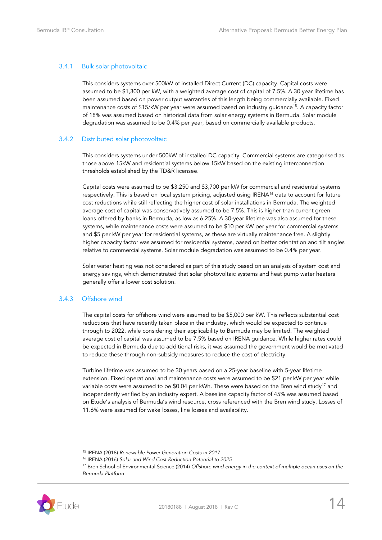### 3.4.1 Bulk solar photovoltaic

This considers systems over 500kW of installed Direct Current (DC) capacity. Capital costs were assumed to be \$1,300 per kW, with a weighted average cost of capital of 7.5%. A 30 year lifetime has been assumed based on power output warranties of this length being commercially available. Fixed maintenance costs of \$15/kW per year were assumed based on industry guidance<sup>15</sup>. A capacity factor of 18% was assumed based on historical data from solar energy systems in Bermuda. Solar module degradation was assumed to be 0.4% per year, based on commercially available products.

### 3.4.2 Distributed solar photovoltaic

This considers systems under 500kW of installed DC capacity. Commercial systems are categorised as those above 15kW and residential systems below 15kW based on the existing interconnection thresholds established by the TD&R licensee.

Capital costs were assumed to be \$3,250 and \$3,700 per kW for commercial and residential systems respectively. This is based on local system pricing, adjusted using IRENA<sup>16</sup> data to account for future cost reductions while still reflecting the higher cost of solar installations in Bermuda. The weighted average cost of capital was conservatively assumed to be 7.5%. This is higher than current green loans offered by banks in Bermuda, as low as 6.25%. A 30-year lifetime was also assumed for these systems, while maintenance costs were assumed to be \$10 per kW per year for commercial systems and \$5 per kW per year for residential systems, as these are virtually maintenance free. A slightly higher capacity factor was assumed for residential systems, based on better orientation and tilt angles relative to commercial systems. Solar module degradation was assumed to be 0.4% per year.

Solar water heating was not considered as part of this study based on an analysis of system cost and energy savings, which demonstrated that solar photovoltaic systems and heat pump water heaters generally offer a lower cost solution.

### 3.4.3 Offshore wind

j

The capital costs for offshore wind were assumed to be \$5,000 per kW. This reflects substantial cost reductions that have recently taken place in the industry, which would be expected to continue through to 2022, while considering their applicability to Bermuda may be limited. The weighted average cost of capital was assumed to be 7.5% based on IRENA guidance. While higher rates could be expected in Bermuda due to additional risks, it was assumed the government would be motivated to reduce these through non-subsidy measures to reduce the cost of electricity.

Turbine lifetime was assumed to be 30 years based on a 25-year baseline with 5-year lifetime extension. Fixed operational and maintenance costs were assumed to be \$21 per kW per year while variable costs were assumed to be \$0.04 per kWh. These were based on the Bren wind study<sup>17</sup> and independently verified by an industry expert. A baseline capacity factor of 45% was assumed based on Etude's analysis of Bermuda's wind resource, cross referenced with the Bren wind study. Losses of 11.6% were assumed for wake losses, line losses and availability.

<sup>17</sup> Bren School of Environmental Science (2014) *Offshore wind energy in the context of multiple ocean uses on the Bermuda Platform*



<sup>15</sup> IRENA (2018) *Renewable Power Generation Costs in 2017*

<sup>16</sup> IRENA (2016) *Solar and Wind Cost Reduction Potential to 2025*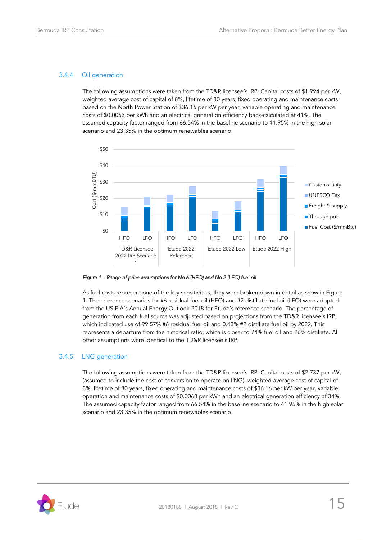# 3.4.4 Oil generation

The following assumptions were taken from the TD&R licensee's IRP: Capital costs of \$1,994 per kW, weighted average cost of capital of 8%, lifetime of 30 years, fixed operating and maintenance costs based on the North Power Station of \$36.16 per kW per year, variable operating and maintenance costs of \$0.0063 per kWh and an electrical generation efficiency back-calculated at 41%. The assumed capacity factor ranged from 66.54% in the baseline scenario to 41.95% in the high solar scenario and 23.35% in the optimum renewables scenario.



*Figure 1 – Range of price assumptions for No 6 (HFO) and No 2 (LFO) fuel oil* 

As fuel costs represent one of the key sensitivities, they were broken down in detail as show in Figure 1. The reference scenarios for #6 residual fuel oil (HFO) and #2 distillate fuel oil (LFO) were adopted from the US EIA's Annual Energy Outlook 2018 for Etude's reference scenario. The percentage of generation from each fuel source was adjusted based on projections from the TD&R licensee's IRP, which indicated use of 99.57% #6 residual fuel oil and 0.43% #2 distillate fuel oil by 2022. This represents a departure from the historical ratio, which is closer to 74% fuel oil and 26% distillate. All other assumptions were identical to the TD&R licensee's IRP.

### 3.4.5 LNG generation

The following assumptions were taken from the TD&R licensee's IRP: Capital costs of \$2,737 per kW, (assumed to include the cost of conversion to operate on LNG), weighted average cost of capital of 8%, lifetime of 30 years, fixed operating and maintenance costs of \$36.16 per kW per year, variable operation and maintenance costs of \$0.0063 per kWh and an electrical generation efficiency of 34%. The assumed capacity factor ranged from 66.54% in the baseline scenario to 41.95% in the high solar scenario and 23.35% in the optimum renewables scenario.

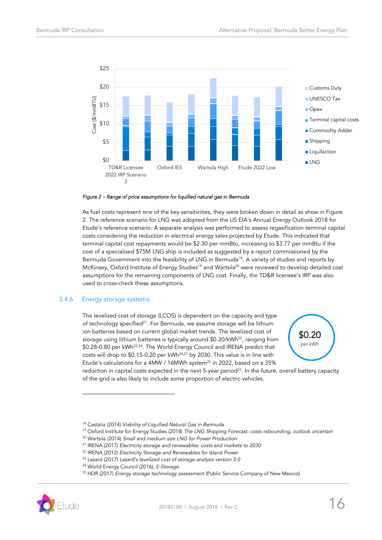

#### *Figure 2 – Range of price assumptions for liquified natural gas in Bermuda*

As fuel costs represent one of the key sensitivities, they were broken down in detail as show in Figure 2. The reference scenario for LNG was adopted from the US EIA's Annual Energy Outlook 2018 for Etude's reference scenario. A separate analysis was performed to assess regasification terminal capital costs considering the reduction in electrical energy sales projected by Etude. This indicated that terminal capital cost repayments would be \$2.30 per mmBtu, increasing to \$3.77 per mmBtu if the cost of a specialised \$75M LNG ship is included as suggested by a report commissioned by the Bermuda Government into the feasibility of LNG in Bermuda<sup>18</sup>. A variety of studies and reports by McKinsey, Oxford Institute of Energy Studies<sup>19</sup> and Wartsila<sup>20</sup> were reviewed to develop detailed cost assumptions for the remaining components of LNG cost. Finally, the TD&R licensee's IRP was also used to cross-check these assumptions.

### 3.4.6 Energy storage systems

j

<span id="page-15-1"></span>The levelized cost of storage (LCOS) is dependent on the capacity and type of technology specified<sup>21</sup>. For Bermuda, we assume storage will be lithium ion batteries based on current global market trends. The levelized cost of storage using lithium batteries is typically around \$0.30/kWh<sup>22</sup>, ranging from \$0.28-0.80 per kWh<sup>23,24</sup>. The World Energy Council and IRENA predict that costs will drop to \$0.15-0.20 per kWh<sup>[24,](#page-15-0)[21](#page-15-1)</sup> by 2030. This value is in line with Etude's calculations for a 4MW / 16MWh system<sup>25</sup> in 2022, based on a 35%



<span id="page-15-2"></span><span id="page-15-0"></span>reduction in capital costs expected in the next 5-year period<sup>[23](#page-15-2)</sup>. In the future, overall battery capacity of the grid is also likely to include some proportion of electric vehicles.

<sup>25</sup> HDR (2017) *Energy storage technology assessment* (Public Service Company of New Mexico)



<sup>18</sup> Castalia (2014) *Viability of Liquified Natural Gas in Bermuda*

<sup>19</sup> Oxford Institute for Energy Studies (2018) *The LNG Shipping Forecast: costs rebounding, outlook uncertain*

<sup>20</sup> Wartsila (2014) *Small and medium size LNG for Power Production*

<sup>21</sup> IRENA (2017) *Electricity storage and renewables: costs and markets to 2030*

<sup>22</sup> IRENA (2012) *Electricity Storage and Renewables for Island Power*

<sup>23</sup> Lazard (2017) *Lazard's levelized cost of storage analysis version 3.0*

<sup>24</sup> World Energy Council (2016), *E-Storage.*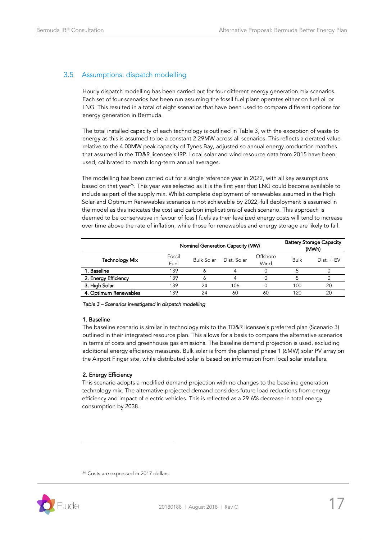# <span id="page-16-0"></span>3.5 Assumptions: dispatch modelling

Hourly dispatch modelling has been carried out for four different energy generation mix scenarios. Each set of four scenarios has been run assuming the fossil fuel plant operates either on fuel oil or LNG. This resulted in a total of eight scenarios that have been used to compare different options for energy generation in Bermuda.

The total installed capacity of each technology is outlined in [Table 3,](#page-16-1) with the exception of waste to energy as this is assumed to be a constant 2.29MW across all scenarios. This reflects a derated value relative to the 4.00MW peak capacity of Tynes Bay, adjusted so annual energy production matches that assumed in the TD&R licensee's IRP. Local solar and wind resource data from 2015 have been used, calibrated to match long-term annual averages.

The modelling has been carried out for a single reference year in 2022, with all key assumptions based on that year<sup>26</sup>. This year was selected as it is the first year that LNG could become available to include as part of the supply mix. Whilst complete deployment of renewables assumed in the High Solar and Optimum Renewables scenarios is not achievable by 2022, full deployment is assumed in the model as this indicates the cost and carbon implications of each scenario. This approach is deemed to be conservative in favour of fossil fuels as their levelized energy costs will tend to increase over time above the rate of inflation, while those for renewables and energy storage are likely to fall.

|                       | Nominal Generation Capacity (MW) |                   |             | <b>Battery Storage Capacity</b><br>(MWh) |             |              |
|-----------------------|----------------------------------|-------------------|-------------|------------------------------------------|-------------|--------------|
| <b>Technology Mix</b> | Fossil<br>Fuel                   | <b>Bulk Solar</b> | Dist. Solar | Offshore<br>Wind                         | <b>Bulk</b> | $Dist. + FV$ |
| 1. Baseline           | 139                              |                   |             |                                          |             |              |
| 2. Energy Efficiency  | 139                              |                   |             |                                          |             |              |
| 3. High Solar         | 139                              | 24                | 106         |                                          | 100         | 20           |
| 4. Optimum Renewables | 139                              | 24                | 60          | 60                                       | 120         | 20           |

<span id="page-16-1"></span>*Table 3 – Scenarios investigated in dispatch modelling* 

### 1. Baseline

The baseline scenario is similar in technology mix to the TD&R licensee's preferred plan (Scenario 3) outlined in their integrated resource plan. This allows for a basis to compare the alternative scenarios in terms of costs and greenhouse gas emissions. The baseline demand projection is used, excluding additional energy efficiency measures. Bulk solar is from the planned phase 1 (6MW) solar PV array on the Airport Finger site, while distributed solar is based on information from local solar installers.

### 2. Energy Efficiency

This scenario adopts a modified demand projection with no changes to the baseline generation technology mix. The alternative projected demand considers future load reductions from energy efficiency and impact of electric vehicles. This is reflected as a 29.6% decrease in total energy consumption by 2038.

<sup>26</sup> Costs are expressed in 2017 dollars.

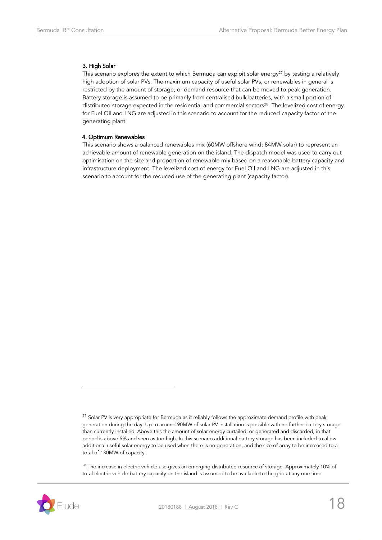### 3. High Solar

This scenario explores the extent to which Bermuda can exploit solar energy<sup>27</sup> by testing a relatively high adoption of solar PVs. The maximum capacity of useful solar PVs, or renewables in general is restricted by the amount of storage, or demand resource that can be moved to peak generation. Battery storage is assumed to be primarily from centralised bulk batteries, with a small portion of distributed storage expected in the residential and commercial sectors<sup>28</sup>. The levelized cost of energy for Fuel Oil and LNG are adjusted in this scenario to account for the reduced capacity factor of the generating plant.

### 4. Optimum Renewables

This scenario shows a balanced renewables mix (60MW offshore wind; 84MW solar) to represent an achievable amount of renewable generation on the island. The dispatch model was used to carry out optimisation on the size and proportion of renewable mix based on a reasonable battery capacity and infrastructure deployment. The levelized cost of energy for Fuel Oil and LNG are adjusted in this scenario to account for the reduced use of the generating plant (capacity factor).

<sup>28</sup> The increase in electric vehicle use gives an emerging distributed resource of storage. Approximately 10% of total electric vehicle battery capacity on the island is assumed to be available to the grid at any one time.



 $27$  Solar PV is very appropriate for Bermuda as it reliably follows the approximate demand profile with peak generation during the day. Up to around 90MW of solar PV installation is possible with no further battery storage than currently installed. Above this the amount of solar energy curtailed, or generated and discarded, in that period is above 5% and seen as too high. In this scenario additional battery storage has been included to allow additional useful solar energy to be used when there is no generation, and the size of array to be increased to a total of 130MW of capacity.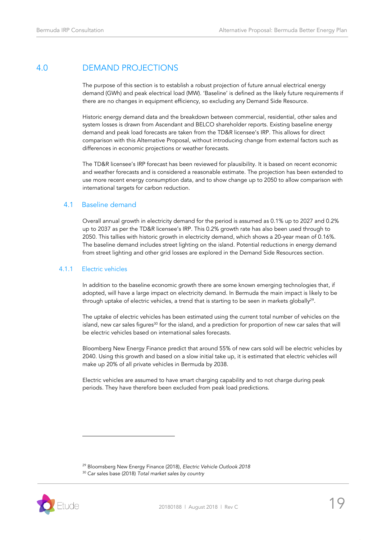# <span id="page-18-0"></span>4.0 DEMAND PROJECTIONS

The purpose of this section is to establish a robust projection of future annual electrical energy demand (GWh) and peak electrical load (MW). 'Baseline' is defined as the likely future requirements if there are no changes in equipment efficiency, so excluding any Demand Side Resource.

Historic energy demand data and the breakdown between commercial, residential, other sales and system losses is drawn from Ascendant and BELCO shareholder reports. Existing baseline energy demand and peak load forecasts are taken from the TD&R licensee's IRP. This allows for direct comparison with this Alternative Proposal, without introducing change from external factors such as differences in economic projections or weather forecasts.

The TD&R licensee's IRP forecast has been reviewed for plausibility. It is based on recent economic and weather forecasts and is considered a reasonable estimate. The projection has been extended to use more recent energy consumption data, and to show change up to 2050 to allow comparison with international targets for carbon reduction.

# <span id="page-18-1"></span>4.1 Baseline demand

Overall annual growth in electricity demand for the period is assumed as 0.1% up to 2027 and 0.2% up to 2037 as per the TD&R licensee's IRP. This 0.2% growth rate has also been used through to 2050. This tallies with historic growth in electricity demand, which shows a 20-year mean of 0.16%. The baseline demand includes street lighting on the island. Potential reductions in energy demand from street lighting and other grid losses are explored in the Demand Side Resources section.

### 4.1.1 Electric vehicles

In addition to the baseline economic growth there are some known emerging technologies that, if adopted, will have a large impact on electricity demand. In Bermuda the main impact is likely to be through uptake of electric vehicles, a trend that is starting to be seen in markets globally $^{29}\cdot$ 

The uptake of electric vehicles has been estimated using the current total number of vehicles on the island, new car sales figures $30$  for the island, and a prediction for proportion of new car sales that will be electric vehicles based on international sales forecasts.

Bloomberg New Energy Finance predict that around 55% of new cars sold will be electric vehicles by 2040. Using this growth and based on a slow initial take up, it is estimated that electric vehicles will make up 20% of all private vehicles in Bermuda by 2038.

Electric vehicles are assumed to have smart charging capability and to not charge during peak periods. They have therefore been excluded from peak load predictions.

<sup>30</sup> Car sales base (2018) *Total market sales by country*



<sup>29</sup> Bloomsberg New Energy Finance (2018), *Electric Vehicle Outlook 2018*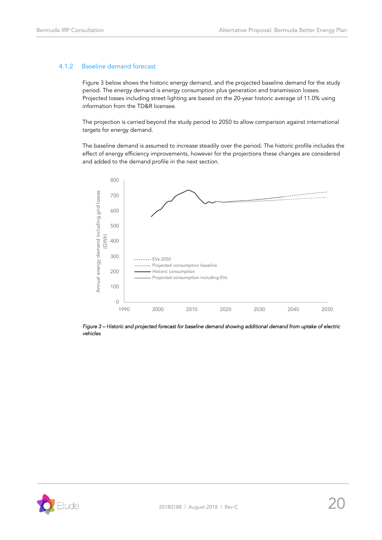### 4.1.2 Baseline demand forecast

Figure 3 below shows the historic energy demand, and the projected baseline demand for the study period. The energy demand is energy consumption plus generation and transmission losses. Projected losses including street lighting are based on the 20-year historic average of 11.0% using information from the TD&R licensee.

The projection is carried beyond the study period to 2050 to allow comparison against international targets for energy demand.

The baseline demand is assumed to increase steadily over the period. The historic profile includes the effect of energy efficiency improvements, however for the projections these changes are considered and added to the demand profile in the next section.



*Figure 3 – Historic and projected forecast for baseline demand showing additional demand from uptake of electric vehicles* 

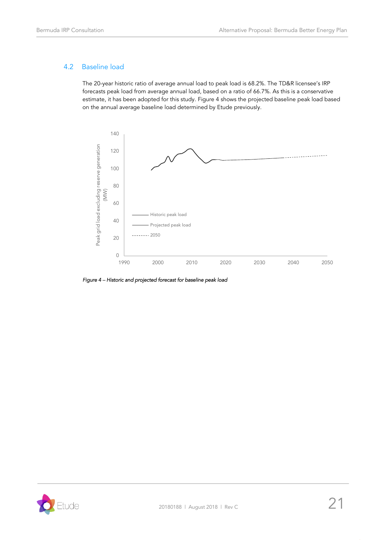# <span id="page-20-0"></span>4.2 Baseline load

The 20-year historic ratio of average annual load to peak load is 68.2%. The TD&R licensee's IRP forecasts peak load from average annual load, based on a ratio of 66.7%. As this is a conservative estimate, it has been adopted for this study. Figure 4 shows the projected baseline peak load based on the annual average baseline load determined by Etude previously.



*Figure 4 – Historic and projected forecast for baseline peak load* 

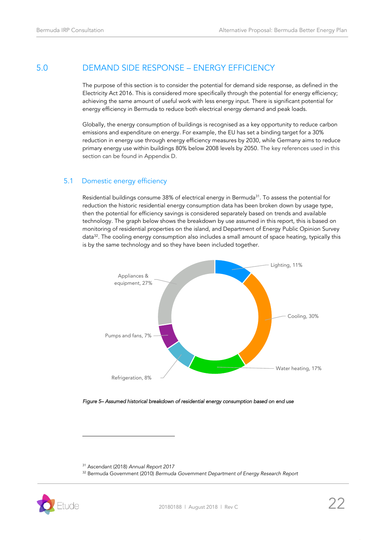# <span id="page-21-0"></span>5.0 DEMAND SIDE RESPONSE – ENERGY EFFICIENCY

The purpose of this section is to consider the potential for demand side response, as defined in the Electricity Act 2016. This is considered more specifically through the potential for energy efficiency; achieving the same amount of useful work with less energy input. There is significant potential for energy efficiency in Bermuda to reduce both electrical energy demand and peak loads.

Globally, the energy consumption of buildings is recognised as a key opportunity to reduce carbon emissions and expenditure on energy. For example, the EU has set a binding target for a 30% reduction in energy use through energy efficiency measures by 2030, while Germany aims to reduce primary energy use within buildings 80% below 2008 levels by 2050. The key references used in this section can be found in Appendix D.

### <span id="page-21-1"></span>5.1 Domestic energy efficiency

Residential buildings consume 38% of electrical energy in Bermuda<sup>31</sup>. To assess the potential for reduction the historic residential energy consumption data has been broken down by usage type, then the potential for efficiency savings is considered separately based on trends and available technology. The graph below shows the breakdown by use assumed in this report, this is based on monitoring of residential properties on the island, and Department of Energy Public Opinion Survey data<sup>32</sup>. The cooling energy consumption also includes a small amount of space heating, typically this is by the same technology and so they have been included together.



*Figure 5– Assumed historical breakdown of residential energy consumption based on end use* 

<sup>31</sup> Ascendant (2018) *Annual Report 2017*

<sup>32</sup> Bermuda Government (2010) *Bermuda Government Department of Energy Research Report*

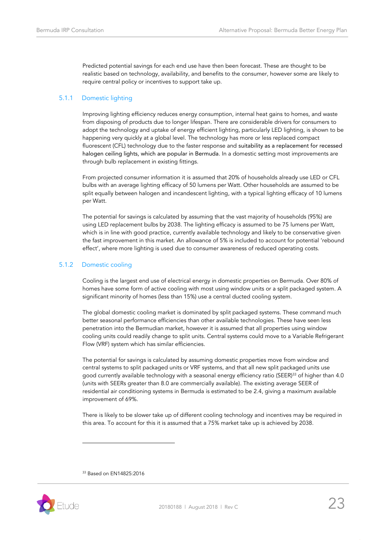Predicted potential savings for each end use have then been forecast. These are thought to be realistic based on technology, availability, and benefits to the consumer, however some are likely to require central policy or incentives to support take up.

### 5.1.1 Domestic lighting

Improving lighting efficiency reduces energy consumption, internal heat gains to homes, and waste from disposing of products due to longer lifespan. There are considerable drivers for consumers to adopt the technology and uptake of energy efficient lighting, particularly LED lighting, is shown to be happening very quickly at a global level. The technology has more or less replaced compact fluorescent (CFL) technology due to the faster response and suitability as a replacement for recessed halogen ceiling lights, which are popular in Bermuda. In a domestic setting most improvements are through bulb replacement in existing fittings.

From projected consumer information it is assumed that 20% of households already use LED or CFL bulbs with an average lighting efficacy of 50 lumens per Watt. Other households are assumed to be split equally between halogen and incandescent lighting, with a typical lighting efficacy of 10 lumens per Watt.

The potential for savings is calculated by assuming that the vast majority of households (95%) are using LED replacement bulbs by 2038. The lighting efficacy is assumed to be 75 lumens per Watt, which is in line with good practice, currently available technology and likely to be conservative given the fast improvement in this market. An allowance of 5% is included to account for potential 'rebound effect', where more lighting is used due to consumer awareness of reduced operating costs.

### 5.1.2 Domestic cooling

Cooling is the largest end use of electrical energy in domestic properties on Bermuda. Over 80% of homes have some form of active cooling with most using window units or a split packaged system. A significant minority of homes (less than 15%) use a central ducted cooling system.

The global domestic cooling market is dominated by split packaged systems. These command much better seasonal performance efficiencies than other available technologies. These have seen less penetration into the Bermudian market, however it is assumed that all properties using window cooling units could readily change to split units. Central systems could move to a Variable Refrigerant Flow (VRF) system which has similar efficiencies.

The potential for savings is calculated by assuming domestic properties move from window and central systems to split packaged units or VRF systems, and that all new split packaged units use good currently available technology with a seasonal energy efficiency ratio (SEER)<sup>33</sup> of higher than 4.0 (units with SEERs greater than 8.0 are commercially available). The existing average SEER of residential air conditioning systems in Bermuda is estimated to be 2.4, giving a maximum available improvement of 69%.

There is likely to be slower take up of different cooling technology and incentives may be required in this area. To account for this it is assumed that a 75% market take up is achieved by 2038.

<sup>33</sup> Based on EN14825:2016

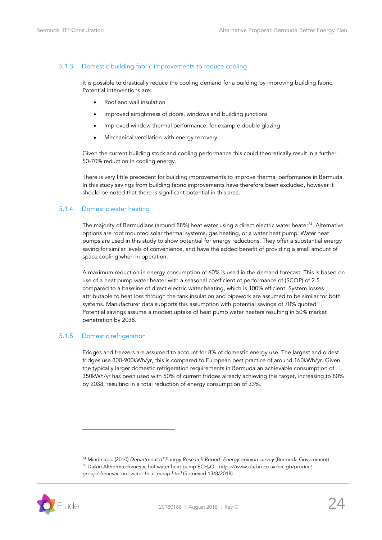### 5.1.3 Domestic building fabric improvements to reduce cooling

It is possible to drastically reduce the cooling demand for a building by improving building fabric. Potential interventions are:

- Roof and wall insulation
- Improved airtightness of doors, windows and building junctions
- Improved window thermal performance, for example double glazing
- Mechanical ventilation with energy recovery.

Given the current building stock and cooling performance this could theoretically result in a further 50-70% reduction in cooling energy.

There is very little precedent for building improvements to improve thermal performance in Bermuda. In this study savings from building fabric improvements have therefore been excluded, however it should be noted that there is significant potential in this area.

### 5.1.4 Domestic water heating

The majority of Bermudians (around 88%) heat water using a direct electric water heater<sup>34</sup>. Alternative options are roof mounted solar thermal systems, gas heating, or a water heat pump. Water heat pumps are used in this study to show potential for energy reductions. They offer a substantial energy saving for similar levels of convenience, and have the added benefit of providing a small amount of space cooling when in operation.

A maximum reduction in energy consumption of 60% is used in the demand forecast. This is based on use of a heat pump water heater with a seasonal coefficient of performance of (SCOP) of 2.5 compared to a baseline of direct electric water heating, which is 100% efficient. System losses attributable to heat loss through the tank insulation and pipework are assumed to be similar for both systems. Manufacturer data supports this assumption with potential savings of 70% quoted $^{\rm 35}.$ Potential savings assume a modest uptake of heat pump water heaters resulting in 50% market penetration by 2038.

### 5.1.5 Domestic refrigeration

j

Fridges and freezers are assumed to account for 8% of domestic energy use. The largest and oldest fridges use 800-900kWh/yr, this is compared to European best practice of around 160kWh/yr. Given the typically larger domestic refrigeration requirements in Bermuda an achievable consumption of 350kWh/yr has been used with 50% of current fridges already achieving this target, increasing to 80% by 2038, resulting in a total reduction of energy consumption of 33%.

<sup>34</sup> Mindmaps. (2010) *Department of Energy Research Report: Energy opinion survey* (Bermuda Government) <sup>35</sup> Daikin Altherma domestic hot water heat pump ECH<sub>2</sub>O - [https://www.daikin.co.uk/en\\_gb/product](https://www.daikin.co.uk/en_gb/product-group/domestic-hot-water-heat-pump.html)*[group/domestic-hot-water-heat-pump.html](https://www.daikin.co.uk/en_gb/product-group/domestic-hot-water-heat-pump.html)* (Retrieved 13/8/2018)

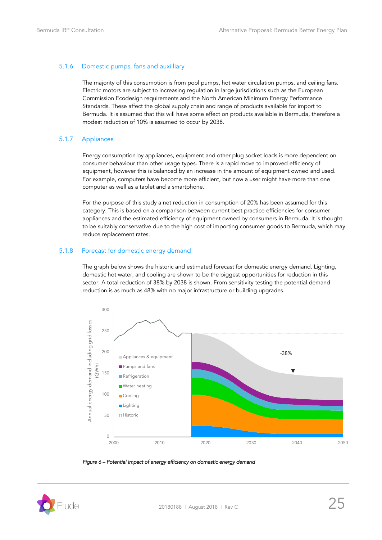### 5.1.6 Domestic pumps, fans and auxilliary

The majority of this consumption is from pool pumps, hot water circulation pumps, and ceiling fans. Electric motors are subject to increasing regulation in large jurisdictions such as the European Commission Ecodesign requirements and the North American Minimum Energy Performance Standards. These affect the global supply chain and range of products available for import to Bermuda. It is assumed that this will have some effect on products available in Bermuda, therefore a modest reduction of 10% is assumed to occur by 2038.

### 5.1.7 Appliances

Energy consumption by appliances, equipment and other plug socket loads is more dependent on consumer behaviour than other usage types. There is a rapid move to improved efficiency of equipment, however this is balanced by an increase in the amount of equipment owned and used. For example, computers have become more efficient, but now a user might have more than one computer as well as a tablet and a smartphone.

For the purpose of this study a net reduction in consumption of 20% has been assumed for this category. This is based on a comparison between current best practice efficiencies for consumer appliances and the estimated efficiency of equipment owned by consumers in Bermuda. It is thought to be suitably conservative due to the high cost of importing consumer goods to Bermuda, which may reduce replacement rates.

### 5.1.8 Forecast for domestic energy demand

The graph below shows the historic and estimated forecast for domestic energy demand. Lighting, domestic hot water, and cooling are shown to be the biggest opportunities for reduction in this sector. A total reduction of 38% by 2038 is shown. From sensitivity testing the potential demand reduction is as much as 48% with no major infrastructure or building upgrades.



*Figure 6 – Potential impact of energy efficiency on domestic energy demand* 

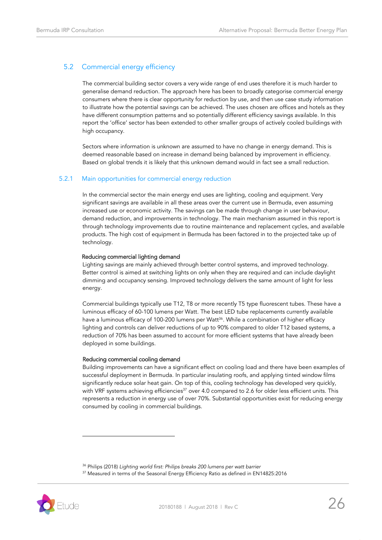# <span id="page-25-0"></span>5.2 Commercial energy efficiency

The commercial building sector covers a very wide range of end uses therefore it is much harder to generalise demand reduction. The approach here has been to broadly categorise commercial energy consumers where there is clear opportunity for reduction by use, and then use case study information to illustrate how the potential savings can be achieved. The uses chosen are offices and hotels as they have different consumption patterns and so potentially different efficiency savings available. In this report the 'office' sector has been extended to other smaller groups of actively cooled buildings with high occupancy.

Sectors where information is unknown are assumed to have no change in energy demand. This is deemed reasonable based on increase in demand being balanced by improvement in efficiency. Based on global trends it is likely that this unknown demand would in fact see a small reduction.

### 5.2.1 Main opportunities for commercial energy reduction

In the commercial sector the main energy end uses are lighting, cooling and equipment. Very significant savings are available in all these areas over the current use in Bermuda, even assuming increased use or economic activity. The savings can be made through change in user behaviour, demand reduction, and improvements in technology. The main mechanism assumed in this report is through technology improvements due to routine maintenance and replacement cycles, and available products. The high cost of equipment in Bermuda has been factored in to the projected take up of technology.

#### Reducing commercial lighting demand

Lighting savings are mainly achieved through better control systems, and improved technology. Better control is aimed at switching lights on only when they are required and can include daylight dimming and occupancy sensing. Improved technology delivers the same amount of light for less energy.

Commercial buildings typically use T12, T8 or more recently T5 type fluorescent tubes. These have a luminous efficacy of 60-100 lumens per Watt. The best LED tube replacements currently available have a luminous efficacy of 100-200 lumens per Watt<sup>36</sup>. While a combination of higher efficacy lighting and controls can deliver reductions of up to 90% compared to older T12 based systems, a reduction of 70% has been assumed to account for more efficient systems that have already been deployed in some buildings.

#### Reducing commercial cooling demand

Building improvements can have a significant effect on cooling load and there have been examples of successful deployment in Bermuda. In particular insulating roofs, and applying tinted window films significantly reduce solar heat gain. On top of this, cooling technology has developed very quickly, with VRF systems achieving efficiencies<sup>37</sup> over 4.0 compared to 2.6 for older less efficient units. This represents a reduction in energy use of over 70%. Substantial opportunities exist for reducing energy consumed by cooling in commercial buildings.

<sup>&</sup>lt;sup>37</sup> Measured in terms of the Seasonal Energy Efficiency Ratio as defined in EN14825:2016



<sup>36</sup> Philips (2018) *Lighting world first: Philips breaks 200 lumens per watt barrier*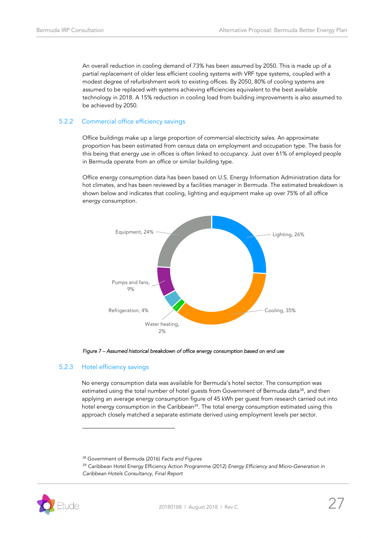An overall reduction in cooling demand of 73% has been assumed by 2050. This is made up of a partial replacement of older less efficient cooling systems with VRF type systems, coupled with a modest degree of refurbishment work to existing offices. By 2050, 80% of cooling systems are assumed to be replaced with systems achieving efficiencies equivalent to the best available technology in 2018. A 15% reduction in cooling load from building improvements is also assumed to be achieved by 2050.

### 5.2.2 Commercial office efficiency savings

Office buildings make up a large proportion of commercial electricity sales. An approximate proportion has been estimated from census data on employment and occupation type. The basis for this being that energy use in offices is often linked to occupancy. Just over 61% of employed people in Bermuda operate from an office or similar building type.

Office energy consumption data has been based on U.S. Energy Information Administration data for hot climates, and has been reviewed by a facilities manager in Bermuda. The estimated breakdown is shown below and indicates that cooling, lighting and equipment make up over 75% of all office energy consumption.



*Figure 7 – Assumed historical breakdown of office energy consumption based on end use* 

### 5.2.3 Hotel efficiency savings

j

No energy consumption data was available for Bermuda's hotel sector. The consumption was estimated using the total number of hotel guests from Government of Bermuda data<sup>38</sup>, and then applying an average energy consumption figure of 45 kWh per guest from research carried out into hotel energy consumption in the Caribbean<sup>39</sup>. The total energy consumption estimated using this approach closely matched a separate estimate derived using employment levels per sector.

<sup>39</sup> Caribbean Hotel Energy Efficiency Action Programme (2012) *Energy Efficiency and Micro-Generation in Caribbean Hotels Consultancy, Final Report*



<sup>38</sup> Government of Bermuda (2016) *Facts and Figures*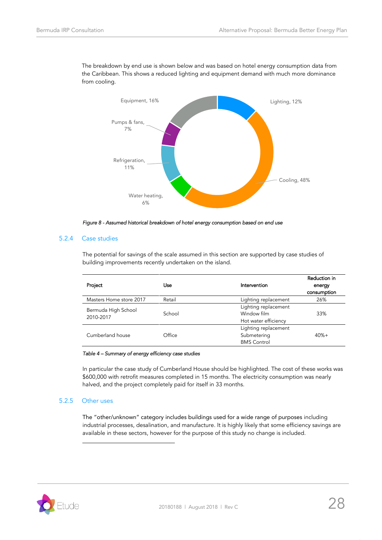

The breakdown by end use is shown below and was based on hotel energy consumption data from the Caribbean. This shows a reduced lighting and equipment demand with much more dominance from cooling.

*Figure 8 - Assumed historical breakdown of hotel energy consumption based on end use* 

### 5.2.4 Case studies

The potential for savings of the scale assumed in this section are supported by case studies of building improvements recently undertaken on the island.

| Project                          | Use    | Intervention                                                | Reduction in<br>energy<br>consumption |
|----------------------------------|--------|-------------------------------------------------------------|---------------------------------------|
| Masters Home store 2017          | Retail | Lighting replacement                                        | 26%                                   |
| Bermuda High School<br>2010-2017 | School | Lighting replacement<br>Window film<br>Hot water efficiency | 33%                                   |
| Cumberland house                 | Office | Lighting replacement<br>Submetering<br><b>BMS Control</b>   | $40% +$                               |

*Table 4 – Summary of energy efficiency case studies* 

In particular the case study of Cumberland House should be highlighted. The cost of these works was \$600,000 with retrofit measures completed in 15 months. The electricity consumption was nearly halved, and the project completely paid for itself in 33 months.

### 5.2.5 Other uses

j

The "other/unknown" category includes buildings used for a wide range of purposes including industrial processes, desalination, and manufacture. It is highly likely that some efficiency savings are available in these sectors, however for the purpose of this study no change is included.

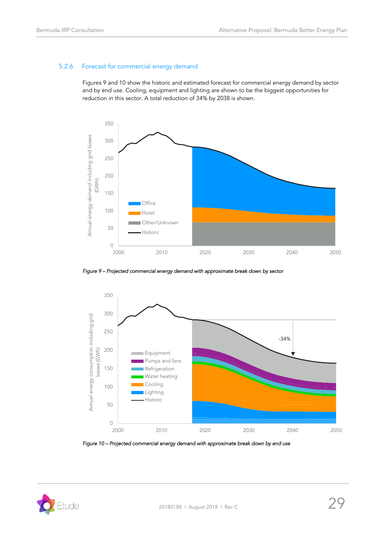### 5.2.6 Forecast for commercial energy demand

Figures 9 and 10 show the historic and estimated forecast for commercial energy demand by sector and by end use. Cooling, equipment and lighting are shown to be the biggest opportunities for reduction in this sector. A total reduction of 34% by 2038 is shown.



*Figure 9 – Projected commercial energy demand with approximate break down by sector* 



*Figure 10 – Projected commercial energy demand with approximate break down by end use* 

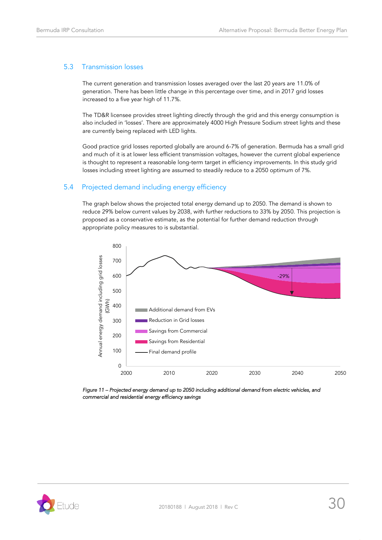### <span id="page-29-0"></span>5.3 Transmission losses

The current generation and transmission losses averaged over the last 20 years are 11.0% of generation. There has been little change in this percentage over time, and in 2017 grid losses increased to a five year high of 11.7%.

The TD&R licensee provides street lighting directly through the grid and this energy consumption is also included in 'losses'. There are approximately 4000 High Pressure Sodium street lights and these are currently being replaced with LED lights.

Good practice grid losses reported globally are around 6-7% of generation. Bermuda has a small grid and much of it is at lower less efficient transmission voltages, however the current global experience is thought to represent a reasonable long-term target in efficiency improvements. In this study grid losses including street lighting are assumed to steadily reduce to a 2050 optimum of 7%.

# <span id="page-29-1"></span>5.4 Projected demand including energy efficiency

The graph below shows the projected total energy demand up to 2050. The demand is shown to reduce 29% below current values by 2038, with further reductions to 33% by 2050. This projection is proposed as a conservative estimate, as the potential for further demand reduction through appropriate policy measures to is substantial.



*Figure 11 – Projected energy demand up to 2050 including additional demand from electric vehicles, and commercial and residential energy efficiency savings* 

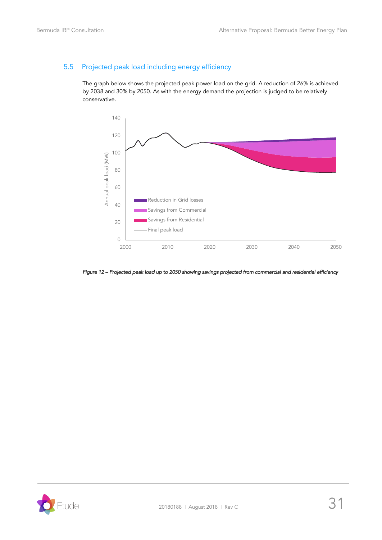# <span id="page-30-0"></span>5.5 Projected peak load including energy efficiency

The graph below shows the projected peak power load on the grid. A reduction of 26% is achieved by 2038 and 30% by 2050. As with the energy demand the projection is judged to be relatively conservative.



*Figure 12 – Projected peak load up to 2050 showing savings projected from commercial and residential efficiency* 

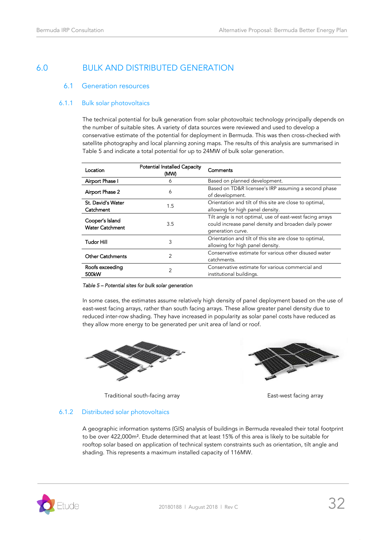# <span id="page-31-1"></span><span id="page-31-0"></span>6.0 BULK AND DISTRIBUTED GENERATION

# 6.1 Generation resources

### 6.1.1 Bulk solar photovoltaics

The technical potential for bulk generation from solar photovoltaic technology principally depends on the number of suitable sites. A variety of data sources were reviewed and used to develop a conservative estimate of the potential for deployment in Bermuda. This was then cross-checked with satellite photography and local planning zoning maps. The results of this analysis are summarised in Table 5 and indicate a total potential for up to 24MW of bulk solar generation.

| Location                                  | <b>Potential Installed Capacity</b><br>(MW) | Comments                                                                                                                               |
|-------------------------------------------|---------------------------------------------|----------------------------------------------------------------------------------------------------------------------------------------|
| Airport Phase I                           | 6                                           | Based on planned development.                                                                                                          |
| Airport Phase 2                           | 6                                           | Based on TD&R licensee's IRP assuming a second phase<br>of development.                                                                |
| St. David's Water<br>Catchment            | 1.5                                         | Orientation and tilt of this site are close to optimal,<br>allowing for high panel density.                                            |
| Cooper's Island<br><b>Water Catchment</b> | 3.5                                         | Tilt angle is not optimal, use of east-west facing arrays<br>could increase panel density and broaden daily power<br>generation curve. |
| <b>Tudor Hill</b>                         | 3                                           | Orientation and tilt of this site are close to optimal,<br>allowing for high panel density.                                            |
| <b>Other Catchments</b>                   | 2                                           | Conservative estimate for various other disused water<br>catchments.                                                                   |
| Roofs exceeding<br>500kW                  | 2                                           | Conservative estimate for various commercial and<br>institutional buildings.                                                           |

#### *Table 5 – Potential sites for bulk solar generation*

In some cases, the estimates assume relatively high density of panel deployment based on the use of east-west facing arrays, rather than south facing arrays. These allow greater panel density due to reduced inter-row shading. They have increased in popularity as solar panel costs have reduced as they allow more energy to be generated per unit area of land or roof.



Traditional south-facing array East-west facing array



# 6.1.2 Distributed solar photovoltaics

A geographic information systems (GIS) analysis of buildings in Bermuda revealed their total footprint to be over 422,000m<sup>2</sup>. Etude determined that at least 15% of this area is likely to be suitable for rooftop solar based on application of technical system constraints such as orientation, tilt angle and shading. This represents a maximum installed capacity of 116MW.

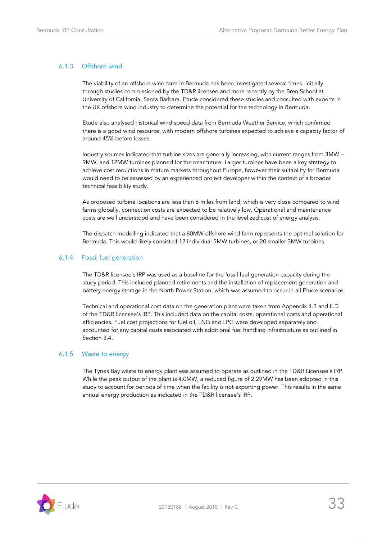### 6.1.3 Offshore wind

The viability of an offshore wind farm in Bermuda has been investigated several times. Initially through studies commissioned by the TD&R licensee and more recently by the Bren School at University of California, Santa Barbara. Etude considered these studies and consulted with experts in the UK offshore wind industry to determine the potential for the technology in Bermuda.

Etude also analysed historical wind speed data from Bermuda Weather Service, which confirmed there is a good wind resource, with modern offshore turbines expected to achieve a capacity factor of around 45% before losses.

Industry sources indicated that turbine sizes are generally increasing, with current ranges from 3MW – 9MW, and 12MW turbines planned for the near future. Larger turbines have been a key strategy to achieve cost reductions in mature markets throughout Europe, however their suitability for Bermuda would need to be assessed by an experienced project developer within the context of a broader technical feasibility study.

As proposed turbine locations are less than 6 miles from land, which is very close compared to wind farms globally, connection costs are expected to be relatively low. Operational and maintenance costs are well understood and have been considered in the levelized cost of energy analysis.

The dispatch modelling indicated that a 60MW offshore wind farm represents the optimal solution for Bermuda. This would likely consist of 12 individual 5MW turbines, or 20 smaller 3MW turbines.

### 6.1.4 Fossil fuel generation

The TD&R licensee's IRP was used as a baseline for the fossil fuel generation capacity during the study period. This included planned retirements and the installation of replacement generation and battery energy storage in the North Power Station, which was assumed to occur in all Etude scenarios.

Technical and operational cost data on the generation plant were taken from Appendix II.B and II.D of the TD&R licensee's IRP. This included data on the capital costs, operational costs and operational efficiencies. Fuel cost projections for fuel oil, LNG and LPG were developed separately and accounted for any capital costs associated with additional fuel handling infrastructure as outlined in Section 3.4.

### 6.1.5 Waste to energy

The Tynes Bay waste to energy plant was assumed to operate as outlined in the TD&R Licensee's IRP. While the peak output of the plant is 4.0MW, a reduced figure of 2.29MW has been adopted in this study to account for periods of time when the facility is not exporting power. This results in the same annual energy production as indicated in the TD&R licensee's IRP.

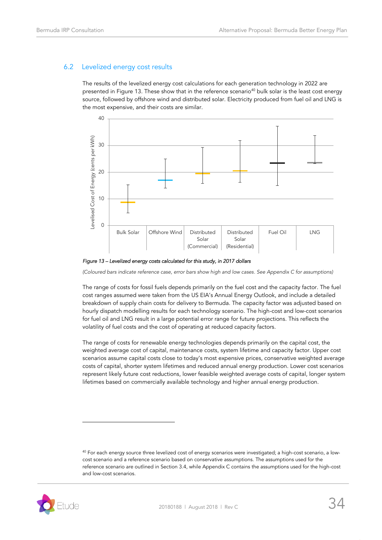# <span id="page-33-0"></span>6.2 Levelized energy cost results

The results of the levelized energy cost calculations for each generation technology in 2022 are presented in [Figure 13.](#page-33-1) These show that in the reference scenario<sup>40</sup> bulk solar is the least cost energy source, followed by offshore wind and distributed solar. Electricity produced from fuel oil and LNG is the most expensive, and their costs are similar.



<span id="page-33-1"></span>*Figure 13 – Levelized energy costs calculated for this study, in 2017 dollars* 

*(Coloured bars indicate reference case, error bars show high and low cases. See Appendix C for assumptions)* 

The range of costs for fossil fuels depends primarily on the fuel cost and the capacity factor. The fuel cost ranges assumed were taken from the US EIA's Annual Energy Outlook, and include a detailed breakdown of supply chain costs for delivery to Bermuda. The capacity factor was adjusted based on hourly dispatch modelling results for each technology scenario. The high-cost and low-cost scenarios for fuel oil and LNG result in a large potential error range for future projections. This reflects the volatility of fuel costs and the cost of operating at reduced capacity factors.

The range of costs for renewable energy technologies depends primarily on the capital cost, the weighted average cost of capital, maintenance costs, system lifetime and capacity factor. Upper cost scenarios assume capital costs close to today's most expensive prices, conservative weighted average costs of capital, shorter system lifetimes and reduced annual energy production. Lower cost scenarios represent likely future cost reductions, lower feasible weighted average costs of capital, longer system lifetimes based on commercially available technology and higher annual energy production.

<sup>&</sup>lt;sup>40</sup> For each energy source three levelized cost of energy scenarios were investigated; a high-cost scenario, a lowcost scenario and a reference scenario based on conservative assumptions. The assumptions used for the reference scenario are outlined in Section 3.4, while Appendix C contains the assumptions used for the high-cost and low-cost scenarios.

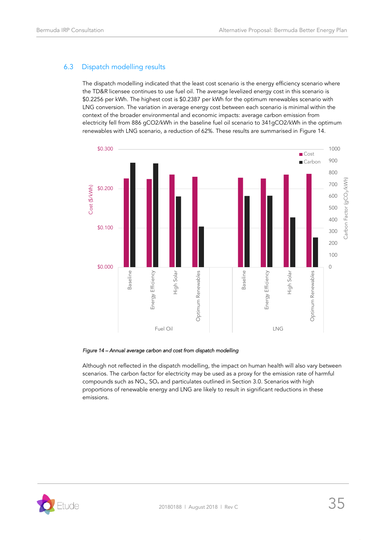# <span id="page-34-0"></span>6.3 Dispatch modelling results

The dispatch modelling indicated that the least cost scenario is the energy efficiency scenario where the TD&R licensee continues to use fuel oil. The average levelized energy cost in this scenario is \$0.2256 per kWh. The highest cost is \$0.2387 per kWh for the optimum renewables scenario with LNG conversion. The variation in average energy cost between each scenario is minimal within the context of the broader environmental and economic impacts: average carbon emission from electricity fell from 886 gCO2/kWh in the baseline fuel oil scenario to 341gCO2/kWh in the optimum renewables with LNG scenario, a reduction of 62%. These results are summarised in [Figure 14.](#page-34-1)



### <span id="page-34-1"></span>*Figure 14 – Annual average carbon and cost from dispatch modelling*

Although not reflected in the dispatch modelling, the impact on human health will also vary between scenarios. The carbon factor for electricity may be used as a proxy for the emission rate of harmful compounds such as NOx, SO<sup>x</sup> and particulates outlined in Section 3.0. Scenarios with high proportions of renewable energy and LNG are likely to result in significant reductions in these emissions.

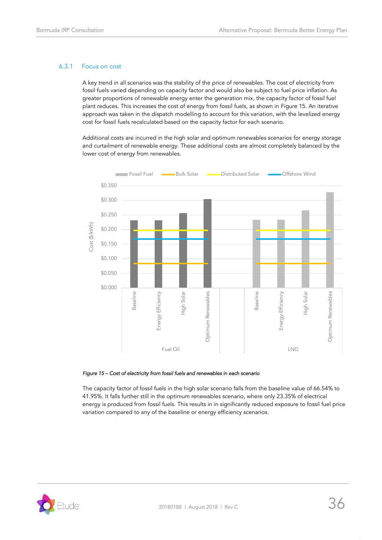### 6.3.1 Focus on cost

A key trend in all scenarios was the stability of the price of renewables. The cost of electricity from fossil fuels varied depending on capacity factor and would also be subject to fuel price inflation. As greater proportions of renewable energy enter the generation mix, the capacity factor of fossil fuel plant reduces. This increases the cost of energy from fossil fuels, as shown in [Figure 15.](#page-35-0) An iterative approach was taken in the dispatch modelling to account for this variation, with the levelized energy cost for fossil fuels recalculated based on the capacity factor for each scenario.

Additional costs are incurred in the high solar and optimum renewables scenarios for energy storage and curtailment of renewable energy. These additional costs are almost completely balanced by the lower cost of energy from renewables.



#### <span id="page-35-0"></span>*Figure 15 – Cost of electricity from fossil fuels and renewables in each scenario*

The capacity factor of fossil fuels in the high solar scenario falls from the baseline value of 66.54% to 41.95%. It falls further still in the optimum renewables scenario, where only 23.35% of electrical energy is produced from fossil fuels. This results in in significantly reduced exposure to fossil fuel price variation compared to any of the baseline or energy efficiency scenarios.

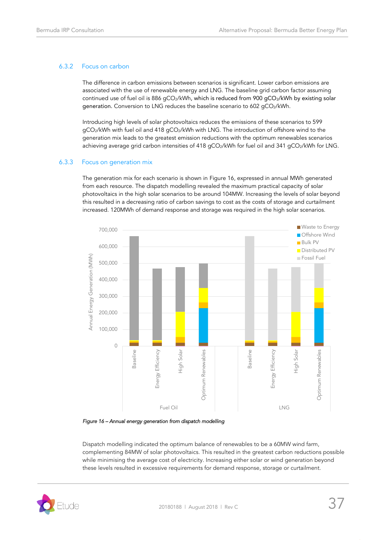### 6.3.2 Focus on carbon

The difference in carbon emissions between scenarios is significant. Lower carbon emissions are associated with the use of renewable energy and LNG. The baseline grid carbon factor assuming continued use of fuel oil is 886 gCO<sub>2</sub>/kWh, which is reduced from 900 gCO<sub>2</sub>/kWh by existing solar generation. Conversion to LNG reduces the baseline scenario to 602 gCO2/kWh.

Introducing high levels of solar photovoltaics reduces the emissions of these scenarios to 599 gCO2/kWh with fuel oil and 418 gCO2/kWh with LNG. The introduction of offshore wind to the generation mix leads to the greatest emission reductions with the optimum renewables scenarios achieving average grid carbon intensities of 418 gCO<sub>2</sub>/kWh for fuel oil and 341 gCO<sub>2</sub>/kWh for LNG.

### 6.3.3 Focus on generation mix

The generation mix for each scenario is shown in [Figure](#page-36-0) 16, expressed in annual MWh generated from each resource. The dispatch modelling revealed the maximum practical capacity of solar photovoltaics in the high solar scenarios to be around 104MW. Increasing the levels of solar beyond this resulted in a decreasing ratio of carbon savings to cost as the costs of storage and curtailment increased. 120MWh of demand response and storage was required in the high solar scenarios.



<span id="page-36-0"></span>*Figure 16 – Annual energy generation from dispatch modelling* 

Dispatch modelling indicated the optimum balance of renewables to be a 60MW wind farm, complementing 84MW of solar photovoltaics. This resulted in the greatest carbon reductions possible while minimising the average cost of electricity. Increasing either solar or wind generation beyond these levels resulted in excessive requirements for demand response, storage or curtailment.

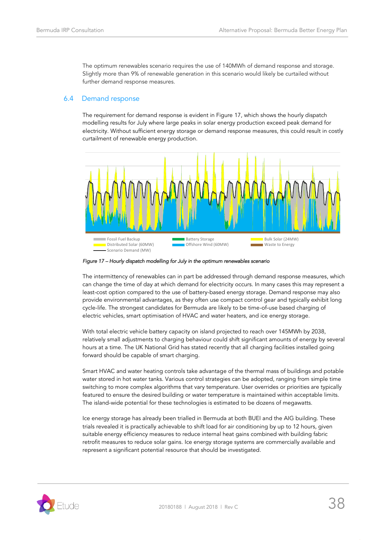The optimum renewables scenario requires the use of 140MWh of demand response and storage. Slightly more than 9% of renewable generation in this scenario would likely be curtailed without further demand response measures.

### <span id="page-37-0"></span>6.4 Demand response

The requirement for demand response is evident in Figure 17, which shows the hourly dispatch modelling results for July where large peaks in solar energy production exceed peak demand for electricity. Without sufficient energy storage or demand response measures, this could result in costly curtailment of renewable energy production.



*Figure 17 – Hourly dispatch modelling for July in the optimum renewables scenario* 

The intermittency of renewables can in part be addressed through demand response measures, which can change the time of day at which demand for electricity occurs. In many cases this may represent a least-cost option compared to the use of battery-based energy storage. Demand response may also provide environmental advantages, as they often use compact control gear and typically exhibit long cycle-life. The strongest candidates for Bermuda are likely to be time-of-use based charging of electric vehicles, smart optimisation of HVAC and water heaters, and ice energy storage.

With total electric vehicle battery capacity on island projected to reach over 145MWh by 2038, relatively small adjustments to charging behaviour could shift significant amounts of energy by several hours at a time. The UK National Grid has stated recently that all charging facilities installed going forward should be capable of smart charging.

Smart HVAC and water heating controls take advantage of the thermal mass of buildings and potable water stored in hot water tanks. Various control strategies can be adopted, ranging from simple time switching to more complex algorithms that vary temperature. User overrides or priorities are typically featured to ensure the desired building or water temperature is maintained within acceptable limits. The island-wide potential for these technologies is estimated to be dozens of megawatts.

Ice energy storage has already been trialled in Bermuda at both BUEI and the AIG building. These trials revealed it is practically achievable to shift load for air conditioning by up to 12 hours, given suitable energy efficiency measures to reduce internal heat gains combined with building fabric retrofit measures to reduce solar gains. Ice energy storage systems are commercially available and represent a significant potential resource that should be investigated.

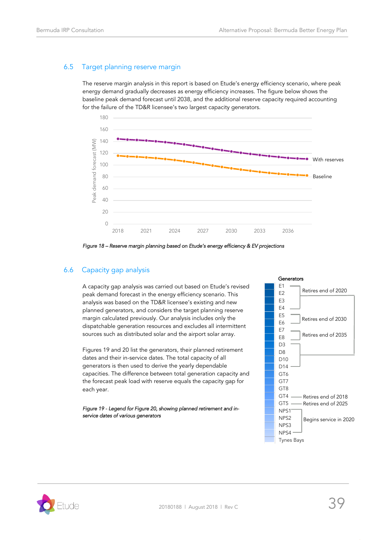# <span id="page-38-0"></span>6.5 Target planning reserve margin

The reserve margin analysis in this report is based on Etude's energy efficiency scenario, where peak energy demand gradually decreases as energy efficiency increases. The figure below shows the baseline peak demand forecast until 2038, and the additional reserve capacity required accounting for the failure of the TD&R licensee's two largest capacity generators.



*Figure 18 – Reserve margin planning based on Etude's energy efficiency & EV projections* 

# <span id="page-38-1"></span>6.6 Capacity gap analysis

A capacity gap analysis was carried out based on Etude's revised peak demand forecast in the energy efficiency scenario. This analysis was based on the TD&R licensee's existing and new planned generators, and considers the target planning reserve margin calculated previously. Our analysis includes only the dispatchable generation resources and excludes all intermittent sources such as distributed solar and the airport solar array.

Figures 19 and 20 list the generators, their planned retirement dates and their in-service dates. The total capacity of all generators is then used to derive the yearly dependable capacities. The difference between total generation capacity and the forecast peak load with reserve equals the capacity gap for each year.

*Figure 19 - Legend fo[r Figure 20,](#page-39-0) showing planned retirement and inservice dates of various generators* 



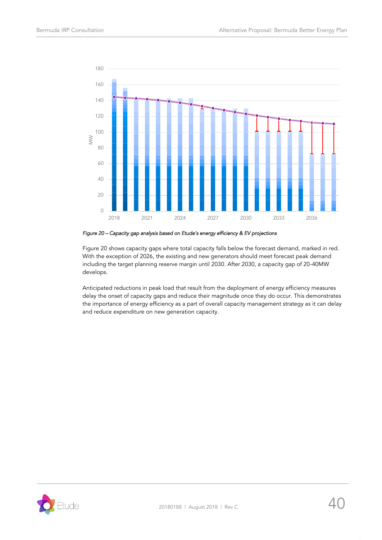

<span id="page-39-0"></span>*Figure 20 – Capacity gap analysis based on Etude's energy efficiency & EV projections* 

[Figure 20](#page-39-0) shows capacity gaps where total capacity falls below the forecast demand, marked in red. With the exception of 2026, the existing and new generators should meet forecast peak demand including the target planning reserve margin until 2030. After 2030, a capacity gap of 20-40MW develops.

Anticipated reductions in peak load that result from the deployment of energy efficiency measures delay the onset of capacity gaps and reduce their magnitude once they do occur. This demonstrates the importance of energy efficiency as a part of overall capacity management strategy as it can delay and reduce expenditure on new generation capacity.

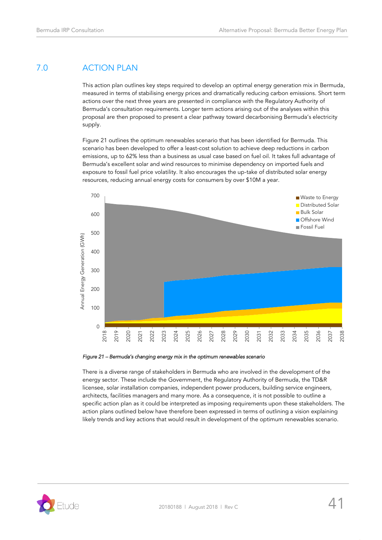# <span id="page-40-0"></span>7.0 ACTION PLAN

This action plan outlines key steps required to develop an optimal energy generation mix in Bermuda, measured in terms of stabilising energy prices and dramatically reducing carbon emissions. Short term actions over the next three years are presented in compliance with the Regulatory Authority of Bermuda's consultation requirements. Longer term actions arising out of the analyses within this proposal are then proposed to present a clear pathway toward decarbonising Bermuda's electricity supply.

[Figure 21](#page-40-1) outlines the optimum renewables scenario that has been identified for Bermuda. This scenario has been developed to offer a least-cost solution to achieve deep reductions in carbon emissions, up to 62% less than a business as usual case based on fuel oil. It takes full advantage of Bermuda's excellent solar and wind resources to minimise dependency on imported fuels and exposure to fossil fuel price volatility. It also encourages the up-take of distributed solar energy resources, reducing annual energy costs for consumers by over \$10M a year.



<span id="page-40-1"></span>*Figure 21 – Bermuda's changing energy mix in the optimum renewables scenario* 

There is a diverse range of stakeholders in Bermuda who are involved in the development of the energy sector. These include the Government, the Regulatory Authority of Bermuda, the TD&R licensee, solar installation companies, independent power producers, building service engineers, architects, facilities managers and many more. As a consequence, it is not possible to outline a specific action plan as it could be interpreted as imposing requirements upon these stakeholders. The action plans outlined below have therefore been expressed in terms of outlining a vision explaining likely trends and key actions that would result in development of the optimum renewables scenario.

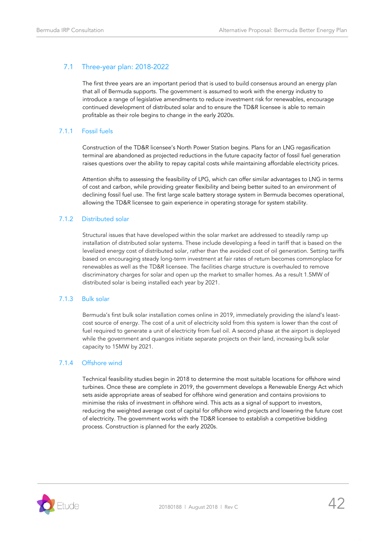# <span id="page-41-0"></span>7.1 Three-year plan: 2018-2022

The first three years are an important period that is used to build consensus around an energy plan that all of Bermuda supports. The government is assumed to work with the energy industry to introduce a range of legislative amendments to reduce investment risk for renewables, encourage continued development of distributed solar and to ensure the TD&R licensee is able to remain profitable as their role begins to change in the early 2020s.

### 7.1.1 Fossil fuels

Construction of the TD&R licensee's North Power Station begins. Plans for an LNG regasification terminal are abandoned as projected reductions in the future capacity factor of fossil fuel generation raises questions over the ability to repay capital costs while maintaining affordable electricity prices.

Attention shifts to assessing the feasibility of LPG, which can offer similar advantages to LNG in terms of cost and carbon, while providing greater flexibility and being better suited to an environment of declining fossil fuel use. The first large scale battery storage system in Bermuda becomes operational, allowing the TD&R licensee to gain experience in operating storage for system stability.

### 7.1.2 Distributed solar

Structural issues that have developed within the solar market are addressed to steadily ramp up installation of distributed solar systems. These include developing a feed in tariff that is based on the levelized energy cost of distributed solar, rather than the avoided cost of oil generation. Setting tariffs based on encouraging steady long-term investment at fair rates of return becomes commonplace for renewables as well as the TD&R licensee. The facilities charge structure is overhauled to remove discriminatory charges for solar and open up the market to smaller homes. As a result 1.5MW of distributed solar is being installed each year by 2021.

### 7.1.3 Bulk solar

Bermuda's first bulk solar installation comes online in 2019, immediately providing the island's leastcost source of energy. The cost of a unit of electricity sold from this system is lower than the cost of fuel required to generate a unit of electricity from fuel oil. A second phase at the airport is deployed while the government and quangos initiate separate projects on their land, increasing bulk solar capacity to 15MW by 2021.

### 7.1.4 Offshore wind

Technical feasibility studies begin in 2018 to determine the most suitable locations for offshore wind turbines. Once these are complete in 2019, the government develops a Renewable Energy Act which sets aside appropriate areas of seabed for offshore wind generation and contains provisions to minimise the risks of investment in offshore wind. This acts as a signal of support to investors, reducing the weighted average cost of capital for offshore wind projects and lowering the future cost of electricity. The government works with the TD&R licensee to establish a competitive bidding process. Construction is planned for the early 2020s.

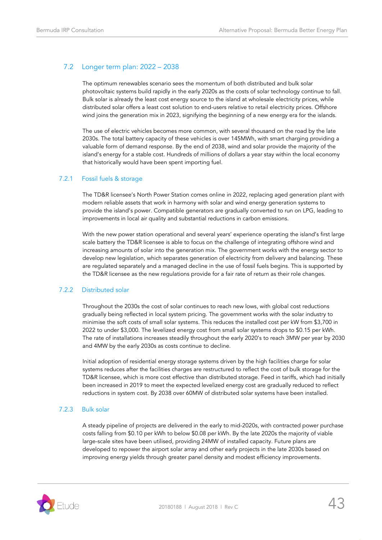# <span id="page-42-0"></span>7.2 Longer term plan: 2022 – 2038

The optimum renewables scenario sees the momentum of both distributed and bulk solar photovoltaic systems build rapidly in the early 2020s as the costs of solar technology continue to fall. Bulk solar is already the least cost energy source to the island at wholesale electricity prices, while distributed solar offers a least cost solution to end-users relative to retail electricity prices. Offshore wind joins the generation mix in 2023, signifying the beginning of a new energy era for the islands.

The use of electric vehicles becomes more common, with several thousand on the road by the late 2030s. The total battery capacity of these vehicles is over 145MWh, with smart charging providing a valuable form of demand response. By the end of 2038, wind and solar provide the majority of the island's energy for a stable cost. Hundreds of millions of dollars a year stay within the local economy that historically would have been spent importing fuel.

### 7.2.1 Fossil fuels & storage

The TD&R licensee's North Power Station comes online in 2022, replacing aged generation plant with modern reliable assets that work in harmony with solar and wind energy generation systems to provide the island's power. Compatible generators are gradually converted to run on LPG, leading to improvements in local air quality and substantial reductions in carbon emissions.

With the new power station operational and several years' experience operating the island's first large scale battery the TD&R licensee is able to focus on the challenge of integrating offshore wind and increasing amounts of solar into the generation mix. The government works with the energy sector to develop new legislation, which separates generation of electricity from delivery and balancing. These are regulated separately and a managed decline in the use of fossil fuels begins. This is supported by the TD&R licensee as the new regulations provide for a fair rate of return as their role changes.

### 7.2.2 Distributed solar

Throughout the 2030s the cost of solar continues to reach new lows, with global cost reductions gradually being reflected in local system pricing. The government works with the solar industry to minimise the soft costs of small solar systems. This reduces the installed cost per kW from \$3,700 in 2022 to under \$3,000. The levelized energy cost from small solar systems drops to \$0.15 per kWh. The rate of installations increases steadily throughout the early 2020's to reach 3MW per year by 2030 and 4MW by the early 2030s as costs continue to decline.

Initial adoption of residential energy storage systems driven by the high facilities charge for solar systems reduces after the facilities charges are restructured to reflect the cost of bulk storage for the TD&R licensee, which is more cost effective than distributed storage. Feed in tariffs, which had initially been increased in 2019 to meet the expected levelized energy cost are gradually reduced to reflect reductions in system cost. By 2038 over 60MW of distributed solar systems have been installed.

### 7.2.3 Bulk solar

A steady pipeline of projects are delivered in the early to mid-2020s, with contracted power purchase costs falling from \$0.10 per kWh to below \$0.08 per kWh. By the late 2020s the majority of viable large-scale sites have been utilised, providing 24MW of installed capacity. Future plans are developed to repower the airport solar array and other early projects in the late 2030s based on improving energy yields through greater panel density and modest efficiency improvements.

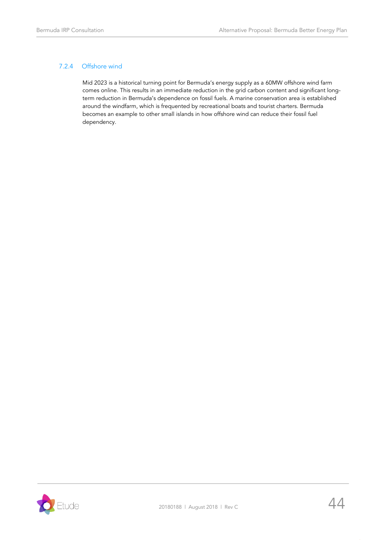# 7.2.4 Offshore wind

Mid 2023 is a historical turning point for Bermuda's energy supply as a 60MW offshore wind farm comes online. This results in an immediate reduction in the grid carbon content and significant longterm reduction in Bermuda's dependence on fossil fuels. A marine conservation area is established around the windfarm, which is frequented by recreational boats and tourist charters. Bermuda becomes an example to other small islands in how offshore wind can reduce their fossil fuel dependency.

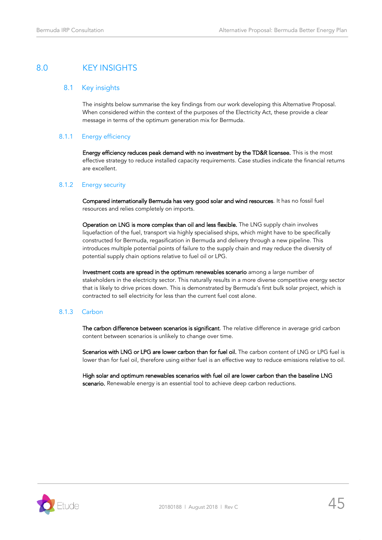# <span id="page-44-1"></span><span id="page-44-0"></span>8.0 KEY INSIGHTS

### 8.1 Key insights

The insights below summarise the key findings from our work developing this Alternative Proposal. When considered within the context of the purposes of the Electricity Act, these provide a clear message in terms of the optimum generation mix for Bermuda.

### 8.1.1 Energy efficiency

Energy efficiency reduces peak demand with no investment by the TD&R licensee. This is the most effective strategy to reduce installed capacity requirements. Case studies indicate the financial returns are excellent.

### 8.1.2 Energy security

Compared internationally Bermuda has very good solar and wind resources. It has no fossil fuel resources and relies completely on imports.

Operation on LNG is more complex than oil and less flexible. The LNG supply chain involves liquefaction of the fuel, transport via highly specialised ships, which might have to be specifically constructed for Bermuda, regasification in Bermuda and delivery through a new pipeline. This introduces multiple potential points of failure to the supply chain and may reduce the diversity of potential supply chain options relative to fuel oil or LPG.

Investment costs are spread in the optimum renewables scenario among a large number of stakeholders in the electricity sector. This naturally results in a more diverse competitive energy sector that is likely to drive prices down. This is demonstrated by Bermuda's first bulk solar project, which is contracted to sell electricity for less than the current fuel cost alone.

### 8.1.3 Carbon

The carbon difference between scenarios is significant. The relative difference in average grid carbon content between scenarios is unlikely to change over time.

Scenarios with LNG or LPG are lower carbon than for fuel oil. The carbon content of LNG or LPG fuel is lower than for fuel oil, therefore using either fuel is an effective way to reduce emissions relative to oil.

High solar and optimum renewables scenarios with fuel oil are lower carbon than the baseline LNG scenario. Renewable energy is an essential tool to achieve deep carbon reductions.

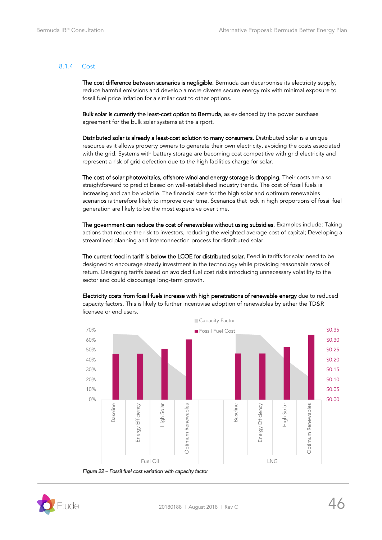### 8.1.4 Cost

The cost difference between scenarios is negligible. Bermuda can decarbonise its electricity supply, reduce harmful emissions and develop a more diverse secure energy mix with minimal exposure to fossil fuel price inflation for a similar cost to other options.

Bulk solar is currently the least-cost option to Bermuda, as evidenced by the power purchase agreement for the bulk solar systems at the airport.

Distributed solar is already a least-cost solution to many consumers. Distributed solar is a unique resource as it allows property owners to generate their own electricity, avoiding the costs associated with the grid. Systems with battery storage are becoming cost competitive with grid electricity and represent a risk of grid defection due to the high facilities charge for solar.

The cost of solar photovoltaics, offshore wind and energy storage is dropping. Their costs are also straightforward to predict based on well-established industry trends. The cost of fossil fuels is increasing and can be volatile. The financial case for the high solar and optimum renewables scenarios is therefore likely to improve over time. Scenarios that lock in high proportions of fossil fuel generation are likely to be the most expensive over time.

The government can reduce the cost of renewables without using subsidies. Examples include: Taking actions that reduce the risk to investors, reducing the weighted average cost of capital; Developing a streamlined planning and interconnection process for distributed solar.

The current feed in tariff is below the LCOE for distributed solar. Feed in tariffs for solar need to be designed to encourage steady investment in the technology while providing reasonable rates of return. Designing tariffs based on avoided fuel cost risks introducing unnecessary volatility to the sector and could discourage long-term growth.



Electricity costs from fossil fuels increase with high penetrations of renewable energy due to reduced capacity factors. This is likely to further incentivise adoption of renewables by either the TD&R licensee or end users.

*Figure 22 – Fossil fuel cost variation with capacity factor* 

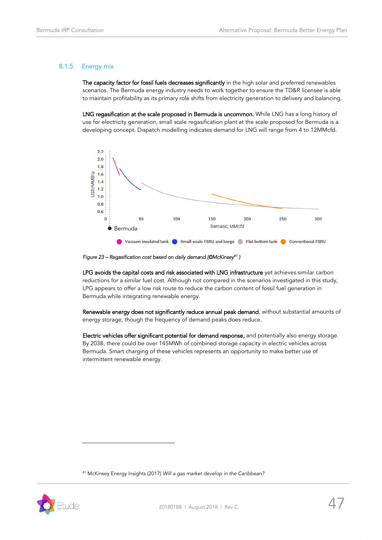### 8.1.5 Energy mix

The capacity factor for fossil fuels decreases significantly in the high solar and preferred renewables scenarios. The Bermuda energy industry needs to work together to ensure the TD&R licensee is able to maintain profitability as its primary role shifts from electricity generation to delivery and balancing.

LNG regasification at the scale proposed in Bermuda is uncommon. While LNG has a long history of use for electricity generation, small scale regasification plant at the scale proposed for Bermuda is a developing concept. Dispatch modelling indicates demand for LNG will range from 4 to 12MMcfd.



*Figure 23 – Regasification cost based on daily demand (©McKinsey<sup>41</sup> )* 

LPG avoids the capital costs and risk associated with LNG infrastructure yet achieves similar carbon reductions for a similar fuel cost. Although not compared in the scenarios investigated in this study, LPG appears to offer a low risk route to reduce the carbon content of fossil fuel generation in Bermuda while integrating renewable energy.

Renewable energy does not significantly reduce annual peak demand, without substantial amounts of energy storage, though the frequency of demand peaks does reduce.

Electric vehicles offer significant potential for demand response, and potentially also energy storage. By 2038, there could be over 145MWh of combined storage capacity in electric vehicles across Bermuda. Smart charging of these vehicles represents an opportunity to make better use of intermittent renewable energy.

<sup>41</sup> McKinsey Energy Insights (2017) *Will a gas market develop in the Caribbean?*

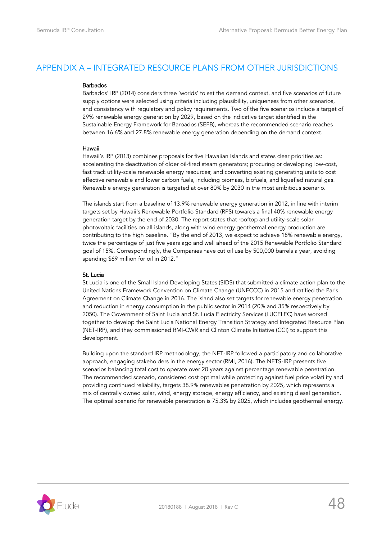# <span id="page-47-0"></span>APPENDIX A – INTEGRATED RESOURCE PLANS FROM OTHER JURISDICTIONS

### Barbados

Barbados' IRP (2014) considers three 'worlds' to set the demand context, and five scenarios of future supply options were selected using criteria including plausibility, uniqueness from other scenarios, and consistency with regulatory and policy requirements. Two of the five scenarios include a target of 29% renewable energy generation by 2029, based on the indicative target identified in the Sustainable Energy Framework for Barbados (SEFB), whereas the recommended scenario reaches between 16.6% and 27.8% renewable energy generation depending on the demand context.

### Hawaii

Hawaii's IRP (2013) combines proposals for five Hawaiian Islands and states clear priorities as: accelerating the deactivation of older oil-fired steam generators; procuring or developing low-cost, fast track utility-scale renewable energy resources; and converting existing generating units to cost effective renewable and lower carbon fuels, including biomass, biofuels, and liquefied natural gas. Renewable energy generation is targeted at over 80% by 2030 in the most ambitious scenario.

The islands start from a baseline of 13.9% renewable energy generation in 2012, in line with interim targets set by Hawaii's Renewable Portfolio Standard (RPS) towards a final 40% renewable energy generation target by the end of 2030. The report states that rooftop and utility-scale solar photovoltaic facilities on all islands, along with wind energy geothermal energy production are contributing to the high baseline. "By the end of 2013, we expect to achieve 18% renewable energy, twice the percentage of just five years ago and well ahead of the 2015 Renewable Portfolio Standard goal of 15%. Correspondingly, the Companies have cut oil use by 500,000 barrels a year, avoiding spending \$69 million for oil in 2012."

### St. Lucia

St Lucia is one of the Small Island Developing States (SIDS) that submitted a climate action plan to the United Nations Framework Convention on Climate Change (UNFCCC) in 2015 and ratified the Paris Agreement on Climate Change in 2016. The island also set targets for renewable energy penetration and reduction in energy consumption in the public sector in 2014 (20% and 35% respectively by 2050). The Government of Saint Lucia and St. Lucia Electricity Services (LUCELEC) have worked together to develop the Saint Lucia National Energy Transition Strategy and Integrated Resource Plan (NET-IRP), and they commissioned RMI-CWR and Clinton Climate Initiative (CCI) to support this development.

Building upon the standard IRP methodology, the NET-IRP followed a participatory and collaborative approach, engaging stakeholders in the energy sector (RMI, 2016). The NETS-IRP presents five scenarios balancing total cost to operate over 20 years against percentage renewable penetration. The recommended scenario, considered cost optimal while protecting against fuel price volatility and providing continued reliability, targets 38.9% renewables penetration by 2025, which represents a mix of centrally owned solar, wind, energy storage, energy efficiency, and existing diesel generation. The optimal scenario for renewable penetration is 75.3% by 2025, which includes geothermal energy.

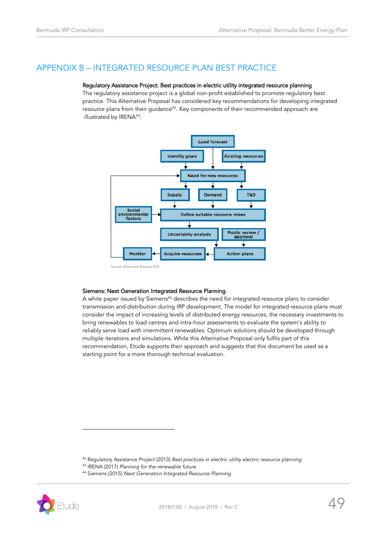# <span id="page-48-0"></span>APPENDIX B – INTEGRATED RESOURCE PLAN BEST PRACTICE

### Regulatory Assistance Project: Best practices in electric utility integrated resource planning

The regulatory assistance project is a global non-profit established to promote regulatory best practice. This Alternative Proposal has considered key recommendations for developing integrated resource plans from their quidance<sup>42</sup>. Key components of their recommended approach are illustrated by IRENA<sup>43</sup>:



#### Siemens: Next Generation Integrated Resource Planning

A white paper issued by Siemens<sup>44</sup> describes the need for integrated resource plans to consider transmission and distribution during IRP development. The model for integrated resource plans must consider the impact of increasing levels of distributed energy resources, the necessary investments to bring renewables to load centres and intra-hour assessments to evaluate the system's ability to reliably serve load with intermittent renewables. Optimum solutions should be developed through multiple iterations and simulations. While this Alternative Proposal only fulfils part of this recommendation, Etude supports their approach and suggests that this document be used as a starting point for a more thorough technical evaluation.

- <sup>43</sup> IRENA (2017) *Planning for the renewable future*
- <sup>44</sup> Siemens (2015) *Next Generation Integrated Resource Planning*



<sup>42</sup> Regulatory Assistance Project (2013) *Best practices in electric utility electric resource planning*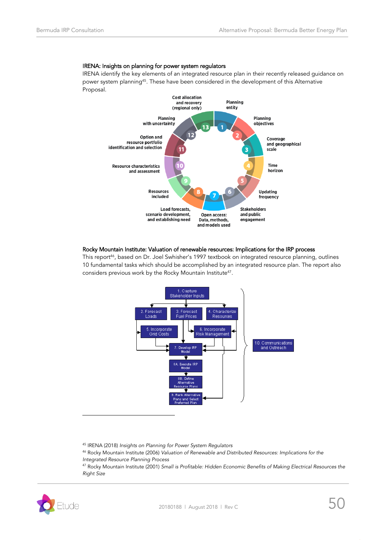### IRENA: Insights on planning for power system regulators

IRENA identify the key elements of an integrated resource plan in their recently released guidance on power system planning<sup>45</sup>. These have been considered in the development of this Alternative Proposal.



### Rocky Mountain Institute: Valuation of renewable resources: Implications for the IRP process

This report<sup>46</sup>, based on Dr. Joel Swhisher's 1997 textbook on integrated resource planning, outlines 10 fundamental tasks which should be accomplished by an integrated resource plan. The report also considers previous work by the Rocky Mountain Institute $^{47}$ .



<sup>45</sup> IRENA (2018) *Insights on Planning for Power System Regulators*

<sup>46</sup> Rocky Mountain Institute (2006) *Valuation of Renewable and Distributed Resources: Implications for the Integrated Resource Planning Process*

<sup>47</sup> Rocky Mountain Institute (2001) *Small is Profitable: Hidden Economic Benefits of Making Electrical Resources the Right Size*

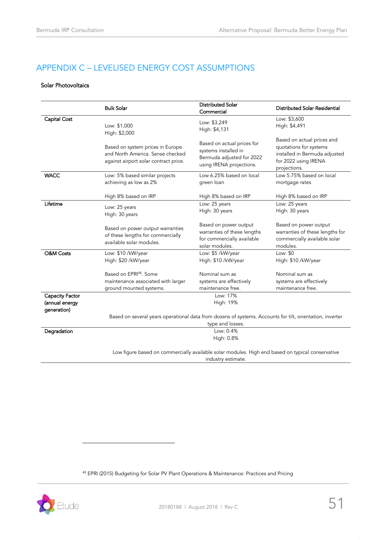# <span id="page-50-0"></span>APPENDIX C – LEVELISED ENERGY COST ASSUMPTIONS

### Solar Photovoltaics

|                                                  | <b>Bulk Solar</b>                                                                                             | <b>Distributed Solar</b><br>Commercial                                                                      | Distributed Solar Residential                                                                                                 |  |  |
|--------------------------------------------------|---------------------------------------------------------------------------------------------------------------|-------------------------------------------------------------------------------------------------------------|-------------------------------------------------------------------------------------------------------------------------------|--|--|
| Capital Cost                                     | Low: \$1,000<br>High: \$2,000                                                                                 | Low: \$3,249<br>High: \$4,131                                                                               | Low: \$3,600<br>High: \$4,491                                                                                                 |  |  |
|                                                  | Based on system prices in Europe<br>and North America. Sense checked<br>against airport solar contract price. | Based on actual prices for<br>systems installed in<br>Bermuda adjusted for 2022<br>using IRENA projections. | Based on actual prices and<br>quotations for systems<br>installed in Bermuda adjusted<br>for 2022 using IRENA<br>projections. |  |  |
| <b>WACC</b>                                      | Low: 5% based similar projects<br>achieving as low as 2%                                                      | Low 6.25% based on local<br>green loan                                                                      | Low 5.75% based on local<br>mortgage rates                                                                                    |  |  |
|                                                  | High 8% based on IRP                                                                                          | High 8% based on IRP                                                                                        | High 8% based on IRP                                                                                                          |  |  |
| Lifetime                                         | Low: 25 years<br>High: 30 years                                                                               | Low: 25 years<br>High: 30 years                                                                             | Low: 25 years<br>High: 30 years                                                                                               |  |  |
|                                                  | Based on power output warranties<br>of these lengths for commercially<br>available solar modules.             | Based on power output<br>warranties of these lengths<br>for commercially available<br>solar modules.        | Based on power output<br>warranties of these lengths for<br>commercially available solar<br>modules.                          |  |  |
| O&M Costs                                        | Low: \$10 /kW/year<br>High: \$20 /kW/year                                                                     | Low: \$5 /kW/year<br>High: \$10 /kW/year                                                                    | Low: \$0<br>High: \$10 /kW/year                                                                                               |  |  |
|                                                  | Based on EPRI48, Some<br>maintenance associated with larger<br>ground mounted systems.                        | Nominal sum as<br>systems are effectively<br>maintenance free.                                              | Nominal sum as<br>systems are effectively<br>maintenance free.                                                                |  |  |
| Capacity Factor<br>(annual energy<br>generation) |                                                                                                               | Low: 17%<br>High: 19%                                                                                       |                                                                                                                               |  |  |
|                                                  | Based on several years operational data from dozens of systems. Accounts for tilt, orientation, inverter      |                                                                                                             |                                                                                                                               |  |  |
| Degradation                                      |                                                                                                               | type and losses.<br>Low: 0.4%<br>High: 0.8%                                                                 |                                                                                                                               |  |  |
|                                                  | Low figure based on commercially available solar modules. High end based on typical conservative              | industry estimate.                                                                                          |                                                                                                                               |  |  |

<sup>48</sup> EPRI (2015) Budgeting for Solar PV Plant Operations & Maintenance: Practices and Pricing

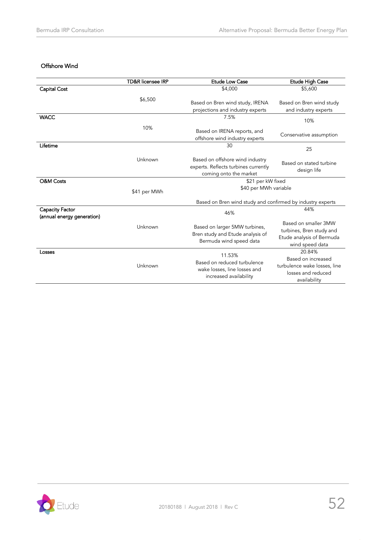### Offshore Wind

|                                               | <b>TD&amp;R</b> licensee IRP | <b>Etude Low Case</b>                                                                             | Etude High Case                                                                                    |  |
|-----------------------------------------------|------------------------------|---------------------------------------------------------------------------------------------------|----------------------------------------------------------------------------------------------------|--|
| Capital Cost                                  |                              | \$4,000                                                                                           | \$5,600                                                                                            |  |
|                                               | \$6,500                      | Based on Bren wind study, IRENA<br>projections and industry experts                               | Based on Bren wind study<br>and industry experts                                                   |  |
| <b>WACC</b>                                   |                              | 7.5%                                                                                              | 10%                                                                                                |  |
|                                               | 10%                          | Based on IRENA reports, and<br>offshore wind industry experts                                     | Conservative assumption                                                                            |  |
| Lifetime                                      |                              | 30                                                                                                | 25                                                                                                 |  |
|                                               | Unknown                      | Based on offshore wind industry<br>experts. Reflects turbines currently<br>coming onto the market | Based on stated turbine<br>design life                                                             |  |
| <b>O&amp;M Costs</b>                          |                              | \$21 per kW fixed                                                                                 |                                                                                                    |  |
|                                               | \$41 per MWh                 | \$40 per MWh variable                                                                             |                                                                                                    |  |
|                                               |                              | Based on Bren wind study and confirmed by industry experts                                        |                                                                                                    |  |
| Capacity Factor<br>(annual energy generation) |                              | 46%                                                                                               | 44%                                                                                                |  |
|                                               | Unknown                      | Based on larger 5MW turbines,<br>Bren study and Etude analysis of<br>Bermuda wind speed data      | Based on smaller 3MW<br>turbines, Bren study and<br>Etude analysis of Bermuda<br>wind speed data   |  |
| Losses                                        | Unknown                      | 11.53%<br>Based on reduced turbulence<br>wake losses, line losses and<br>increased availability   | 20.84%<br>Based on increased<br>turbulence wake losses, line<br>losses and reduced<br>availability |  |

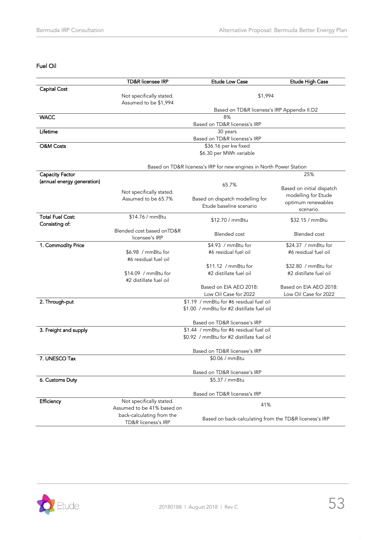### Fuel Oil

|                            | <b>TD&amp;R</b> licensee IRP                     | <b>Etude Low Case</b>                                               | Etude High Case                           |
|----------------------------|--------------------------------------------------|---------------------------------------------------------------------|-------------------------------------------|
| Capital Cost               |                                                  |                                                                     |                                           |
|                            | Not specifically stated.                         | \$1,994                                                             |                                           |
|                            | Assumed to be \$1,994                            |                                                                     |                                           |
| <b>WACC</b>                |                                                  | Based on TD&R liceness's IRP Appendix II.D2<br>8%                   |                                           |
|                            |                                                  | Based on TD&R liceness's IRP                                        |                                           |
| Lifetime                   |                                                  | 30 years                                                            |                                           |
|                            |                                                  | Based on TD&R liceness's IRP                                        |                                           |
| <b>O&amp;M Costs</b>       |                                                  | \$36.16 per kw fixed                                                |                                           |
|                            |                                                  | \$6.30 per MWh variable                                             |                                           |
|                            |                                                  | Based on TD&R liceness's IRP for new engines in North Power Station |                                           |
| Capacity Factor            |                                                  |                                                                     | 25%                                       |
| (annual energy generation) |                                                  | 65.7%                                                               |                                           |
|                            | Not specifically stated.                         |                                                                     | Based on initial dispatch                 |
|                            | Assumed to be 65.7%                              | Based on dispatch modelling for                                     | modelling for Etude<br>optimum renewables |
|                            |                                                  | Etude baseline scenario                                             | scenario.                                 |
| <b>Total Fuel Cost:</b>    | \$14.76 / mmBtu                                  |                                                                     |                                           |
| Consisting of:             |                                                  | \$12.70 / mmBtu                                                     | \$32.15 / mmBtu                           |
|                            | Blended cost based onTD&R<br>licensee's IRP      | <b>Blended</b> cost                                                 | <b>Blended</b> cost                       |
| 1. Commodity Price         |                                                  | \$4.93 / mmBtu for                                                  | \$24.37 / mmBtu for                       |
|                            | \$6.98 / mmBtu for<br>#6 residual fuel oil       | #6 residual fuel oil                                                | #6 residual fuel oil                      |
|                            |                                                  | \$11.12 / mmBtu for                                                 | \$32.80 / mmBtu for                       |
|                            | $$14.09$ / mmBtu for<br>#2 distillate fuel oil   | #2 distillate fuel oil                                              | #2 distillate fuel oil                    |
|                            |                                                  | Based on EIA AEO 2018:                                              | Based on EIA AEO 2018:                    |
|                            |                                                  | Low Oil Case for 2022                                               | Low Oil Case for 2022                     |
| 2. Through-put             |                                                  | \$1.19 / mmBtu for #6 residual fuel oil                             |                                           |
|                            |                                                  | \$1.00 / mmBtu for #2 distillate fuel oil                           |                                           |
|                            |                                                  | Based on TD&R licensee's IRP                                        |                                           |
| 3. Freight and supply      |                                                  | \$1.44 / mmBtu for #6 residual fuel oil                             |                                           |
|                            |                                                  | \$0.92 / mmBtu for #2 distillate fuel oil                           |                                           |
|                            |                                                  | Based on TD&R licensee's IRP                                        |                                           |
| 7. UNESCO Tax              |                                                  | \$0.06 / mmBtu                                                      |                                           |
|                            |                                                  |                                                                     |                                           |
|                            |                                                  | Based on TD&R licensee's IRP                                        |                                           |
| 6. Customs Duty            |                                                  | \$5.37 / mmBtu                                                      |                                           |
|                            |                                                  | Based on TD&R liceness's IRP                                        |                                           |
| Efficiency                 | Not specifically stated.                         | 41%                                                                 |                                           |
|                            | Assumed to be 41% based on                       |                                                                     |                                           |
|                            | back-calculating from the<br>TD&R liceness's IRP | Based on back-calculating from the TD&R liceness's IRP              |                                           |
|                            |                                                  |                                                                     |                                           |

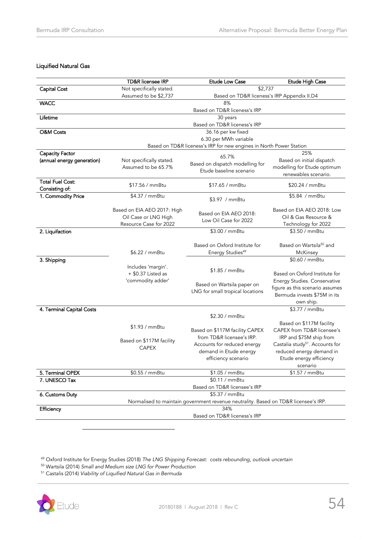### Liquified Natural Gas

|                            | <b>TD&amp;R</b> licensee IRP                        | <b>Etude Low Case</b>                                                                        | Etude High Case                                                 |
|----------------------------|-----------------------------------------------------|----------------------------------------------------------------------------------------------|-----------------------------------------------------------------|
| Capital Cost               | Not specifically stated.                            | \$2,737                                                                                      |                                                                 |
|                            | Assumed to be \$2,737                               | Based on TD&R liceness's IRP Appendix II.D4                                                  |                                                                 |
| <b>WACC</b>                |                                                     | 8%                                                                                           |                                                                 |
|                            |                                                     | Based on TD&R liceness's IRP                                                                 |                                                                 |
| Lifetime                   |                                                     | 30 years                                                                                     |                                                                 |
|                            |                                                     | Based on TD&R liceness's IRP                                                                 |                                                                 |
| O&M Costs                  |                                                     | 36.16 per kw fixed                                                                           |                                                                 |
|                            |                                                     | 6.30 per MWh variable<br>Based on TD&R liceness's IRP for new engines in North Power Station |                                                                 |
| Capacity Factor            |                                                     |                                                                                              | 25%                                                             |
| (annual energy generation) | Not specifically stated.                            | 65.7%                                                                                        | Based on initial dispatch                                       |
|                            | Assumed to be 65.7%                                 | Based on dispatch modelling for                                                              | modelling for Etude optimum                                     |
|                            |                                                     | Etude baseline scenario                                                                      | renewables scenario.                                            |
| <b>Total Fuel Cost:</b>    | \$17.56 / mmBtu                                     | \$17.65 / mmBtu                                                                              | \$20.24 / mmBtu                                                 |
| Consisting of:             |                                                     |                                                                                              |                                                                 |
| 1. Commodity Price         | \$4.37 / mmBtu                                      | \$3.97 / mmBtu                                                                               | \$5.84 / mmBtu                                                  |
|                            |                                                     |                                                                                              | Based on EIA AEO 2018: Low                                      |
|                            | Based on EIA AEO 2017: High<br>Oil Case or LNG High | Based on EIA AEO 2018:                                                                       | Oil & Gas Resource &                                            |
|                            | Resource Case for 2022                              | Low Oil Case for 2022                                                                        | Technology for 2022                                             |
| 2. Liquifaction            |                                                     | \$3.00 / mmBtu                                                                               | \$3.50 / mmBtu                                                  |
|                            |                                                     |                                                                                              |                                                                 |
|                            |                                                     | Based on Oxford Institute for                                                                | Based on Wartsila <sup>50</sup> and                             |
|                            | \$6.22 / mmBtu                                      | Energy Studies <sup>49</sup>                                                                 | McKinsey                                                        |
| 3. Shipping                |                                                     |                                                                                              | \$0.60 / mmBtu                                                  |
|                            | Includes 'margin'.                                  | \$1.85 / mmBtu                                                                               |                                                                 |
|                            | $+$ \$0.37 Listed as                                |                                                                                              | Based on Oxford Institute for                                   |
|                            | 'commodity adder'                                   | Based on Wartsila paper on                                                                   | Energy Studies. Conservative<br>figure as this scenario assumes |
|                            |                                                     | LNG for small tropical locations                                                             | Bermuda invests \$75M in its                                    |
|                            |                                                     |                                                                                              | own ship.                                                       |
| 4. Terminal Capital Costs  |                                                     |                                                                                              | \$3.77 / mmBtu                                                  |
|                            |                                                     | \$2.30 / mmBtu                                                                               |                                                                 |
|                            | \$1.93 / mmBtu                                      |                                                                                              | Based on \$117M facility                                        |
|                            |                                                     | Based on \$117M facility CAPEX                                                               | CAPEX from TD&R licensee's                                      |
|                            | Based on \$117M facility                            | from TD&R licensee's IRP.                                                                    | IRP and \$75M ship from                                         |
|                            | <b>CAPEX</b>                                        | Accounts for reduced energy                                                                  | Castalia study <sup>51</sup> . Accounts for                     |
|                            |                                                     | demand in Etude energy                                                                       | reduced energy demand in                                        |
|                            |                                                     | efficiency scenario                                                                          | Etude energy efficiency                                         |
| 5. Terminal OPEX           | \$0.55 / mmBtu                                      | \$1.05 / mmBtu                                                                               | scenario<br>\$1.57 / mmBtu                                      |
| 7. UNESCO Tax              |                                                     | \$0.11 / mmBtu                                                                               |                                                                 |
|                            |                                                     | Based on TD&R licensee's IRP                                                                 |                                                                 |
| 6. Customs Duty            |                                                     | \$5.37 / mmBtu                                                                               |                                                                 |
|                            |                                                     | Normalised to maintain government revenue neutrality. Based on TD&R licensee's IRP.          |                                                                 |
| Efficiency                 |                                                     | 34%                                                                                          |                                                                 |
|                            |                                                     | Based on TD&R liceness's IRP                                                                 |                                                                 |

<sup>49</sup> Oxford Institute for Energy Studies (2018) *The LNG Shipping Forecast: costs rebounding, outlook uncertain*

<sup>50</sup> Wartsila (2014) *Small and Medium size LNG for Power Production*

<sup>51</sup> Castalis (2014) *Viability of Liquified Natural Gas in Bermuda*

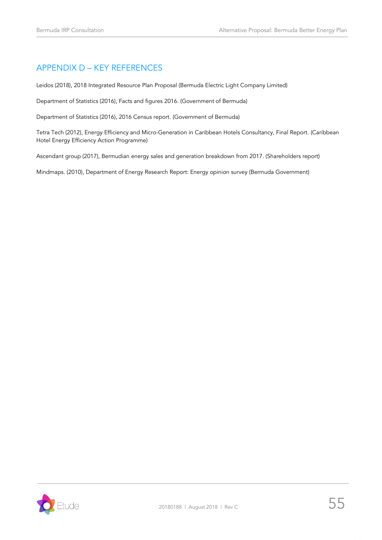# <span id="page-54-0"></span>APPENDIX D – KEY REFERENCES

Leidos (2018), 2018 Integrated Resource Plan Proposal (Bermuda Electric Light Company Limited)

Department of Statistics (2016), Facts and figures 2016. (Government of Bermuda)

Department of Statistics (2016), 2016 Census report. (Government of Bermuda)

Tetra Tech (2012), Energy Efficiency and Micro-Generation in Caribbean Hotels Consultancy, Final Report. (Caribbean Hotel Energy Efficiency Action Programme)

Ascendant group (2017), Bermudian energy sales and generation breakdown from 2017. (Shareholders report)

Mindmaps. (2010), Department of Energy Research Report: Energy opinion survey (Bermuda Government)